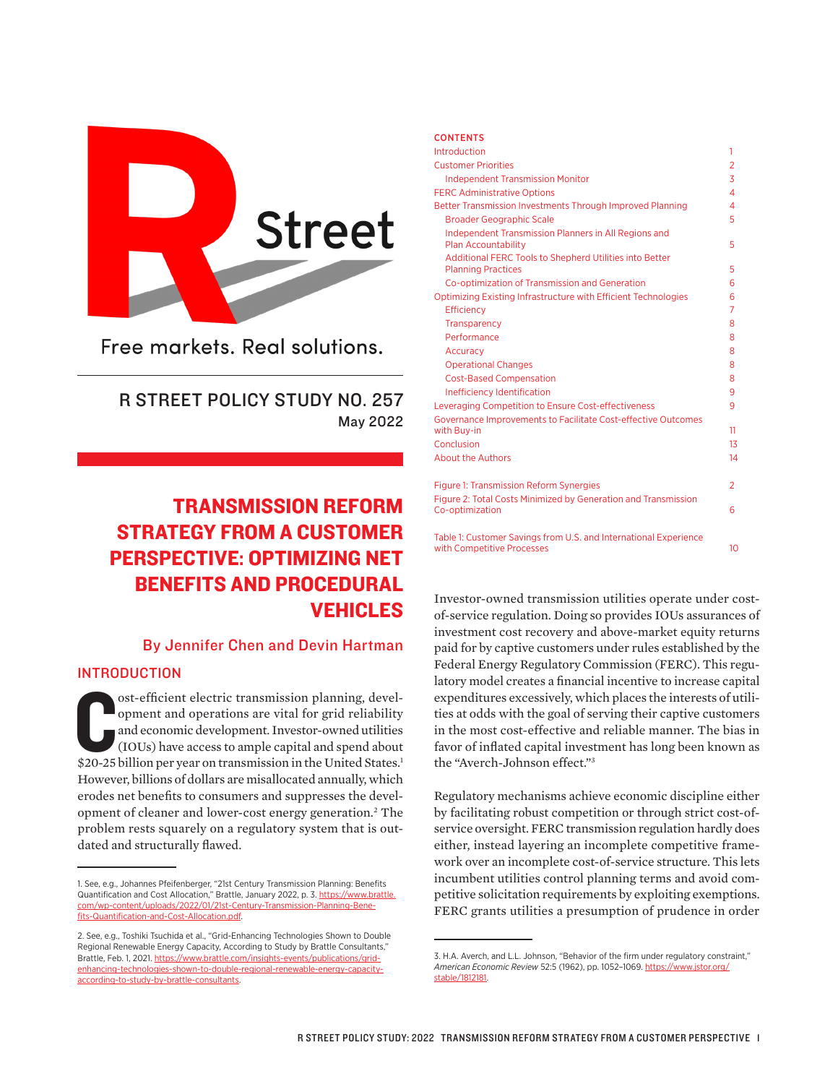

Free markets, Real solutions.

## R STREET POLICY STUDY NO. 257 May 2022

# TRANSMISSION REFORM STRATEGY FROM A CUSTOMER PERSPECTIVE: OPTIMIZING NET BENEFITS AND PROCEDURAL VEHICLES

## By Jennifer Chen and Devin Hartman

## INTRODUCTION

ost-efficient electric transmission planning, development and operations are vital for grid reliability and economic development. Investor-owned utilities (IOUs) have access to ample capital and spend about \$20-25 billion ost-efficient electric transmission planning, development and operations are vital for grid reliability and economic development. Investor-owned utilities (IOUs) have access to ample capital and spend about However, billions of dollars are misallocated annually, which erodes net benefits to consumers and suppresses the development of cleaner and lower-cost energy generation.<sup>2</sup> The problem rests squarely on a regulatory system that is outdated and structurally flawed.

| <b>LUNIENIS</b>                                                                                                                                                                                                                                                                               |                          |
|-----------------------------------------------------------------------------------------------------------------------------------------------------------------------------------------------------------------------------------------------------------------------------------------------|--------------------------|
| Introduction                                                                                                                                                                                                                                                                                  | 1                        |
| <b>Customer Priorities</b>                                                                                                                                                                                                                                                                    | $\overline{2}$           |
| <b>Independent Transmission Monitor</b>                                                                                                                                                                                                                                                       | 3                        |
| <b>FERC Administrative Options</b>                                                                                                                                                                                                                                                            | $\overline{\mathcal{A}}$ |
| Better Transmission Investments Through Improved Planning                                                                                                                                                                                                                                     | 4                        |
| <b>Broader Geographic Scale</b>                                                                                                                                                                                                                                                               | 5                        |
| Independent Transmission Planners in All Regions and<br><b>Plan Accountability</b>                                                                                                                                                                                                            | 5                        |
| Additional FERC Tools to Shepherd Utilities into Better                                                                                                                                                                                                                                       |                          |
| <b>Planning Practices</b>                                                                                                                                                                                                                                                                     | 5                        |
| Co-optimization of Transmission and Generation                                                                                                                                                                                                                                                | 6                        |
| Optimizing Existing Infrastructure with Efficient Technologies                                                                                                                                                                                                                                | 6                        |
| Efficiency                                                                                                                                                                                                                                                                                    | 7                        |
| Transparency                                                                                                                                                                                                                                                                                  | 8                        |
| Performance                                                                                                                                                                                                                                                                                   | 8                        |
| Accuracy                                                                                                                                                                                                                                                                                      | 8                        |
| <b>Operational Changes</b>                                                                                                                                                                                                                                                                    | 8                        |
| <b>Cost-Based Compensation</b>                                                                                                                                                                                                                                                                | 8                        |
| Inefficiency Identification                                                                                                                                                                                                                                                                   | 9                        |
| Leveraging Competition to Ensure Cost-effectiveness                                                                                                                                                                                                                                           | 9                        |
| Governance Improvements to Facilitate Cost-effective Outcomes                                                                                                                                                                                                                                 |                          |
| with Buy-in                                                                                                                                                                                                                                                                                   | 11                       |
| Conclusion                                                                                                                                                                                                                                                                                    | 13                       |
| <b>About the Authors</b>                                                                                                                                                                                                                                                                      | 14                       |
| <b>Figure 1: Transmission Reform Synergies</b>                                                                                                                                                                                                                                                | $\overline{2}$           |
| Figure 2: Total Costs Minimized by Generation and Transmission<br>Co-optimization                                                                                                                                                                                                             | 6                        |
| $\frac{1}{2}$ and $\frac{1}{2}$ and $\frac{1}{2}$ and $\frac{1}{2}$ and $\frac{1}{2}$ and $\frac{1}{2}$ and $\frac{1}{2}$ and $\frac{1}{2}$ and $\frac{1}{2}$ and $\frac{1}{2}$ and $\frac{1}{2}$ and $\frac{1}{2}$ and $\frac{1}{2}$ and $\frac{1}{2}$ and $\frac{1}{2}$ and $\frac{1}{2}$ a |                          |

CONTENTS

Table 1: Customer Savings from U.S. and International Experience with Competitive Processes 10

Investor-owned transmission utilities operate under costof-service regulation. Doing so provides IOUs assurances of investment cost recovery and above-market equity returns paid for by captive customers under rules established by the Federal Energy Regulatory Commission (FERC). This regulatory model creates a financial incentive to increase capital expenditures excessively, which places the interests of utilities at odds with the goal of serving their captive customers in the most cost-effective and reliable manner. The bias in favor of inflated capital investment has long been known as the "Averch-Johnson effect."3

Regulatory mechanisms achieve economic discipline either by facilitating robust competition or through strict cost-ofservice oversight. FERC transmission regulation hardly does either, instead layering an incomplete competitive framework over an incomplete cost-of-service structure. This lets incumbent utilities control planning terms and avoid competitive solicitation requirements by exploiting exemptions. FERC grants utilities a presumption of prudence in order

<sup>1.</sup> See, e.g., Johannes Pfeifenberger, "21st Century Transmission Planning: Benefits Quantification and Cost Allocation," Brattle, January 2022, p. 3. [https://www.brattle.](https://www.brattle.com/wp-content/uploads/2022/01/21st-Century-Transmission-Planning-Benefits-Quantification-and-Cost-Allocation.pdf) [com/wp-content/uploads/2022/01/21st-Century-Transmission-Planning-Bene](https://www.brattle.com/wp-content/uploads/2022/01/21st-Century-Transmission-Planning-Benefits-Quantification-and-Cost-Allocation.pdf)[fits-Quantification-and-Cost-Allocation.pdf](https://www.brattle.com/wp-content/uploads/2022/01/21st-Century-Transmission-Planning-Benefits-Quantification-and-Cost-Allocation.pdf).

<sup>2.</sup> See, e.g., Toshiki Tsuchida et al., "Grid-Enhancing Technologies Shown to Double Regional Renewable Energy Capacity, According to Study by Brattle Consultants," Brattle, Feb. 1, 2021. [https://www.brattle.com/insights-events/publications/grid](https://www.brattle.com/insights-events/publications/grid-enhancing-technologies-shown-to-double-regional-renewable-energy-capacity-according-to-study-by-brattle-consultants/)[enhancing-technologies-shown-to-double-regional-renewable-energy-capacity](https://www.brattle.com/insights-events/publications/grid-enhancing-technologies-shown-to-double-regional-renewable-energy-capacity-according-to-study-by-brattle-consultants/)[according-to-study-by-brattle-consultants.](https://www.brattle.com/insights-events/publications/grid-enhancing-technologies-shown-to-double-regional-renewable-energy-capacity-according-to-study-by-brattle-consultants/)

<sup>3.</sup> H.A. Averch, and L.L. Johnson, "Behavior of the firm under regulatory constraint," *American Economic Review* 52:5 (1962), pp. 1052–1069. [https://www.jstor.org/](https://www.jstor.org/stable/1812181) [stable/1812181.](https://www.jstor.org/stable/1812181)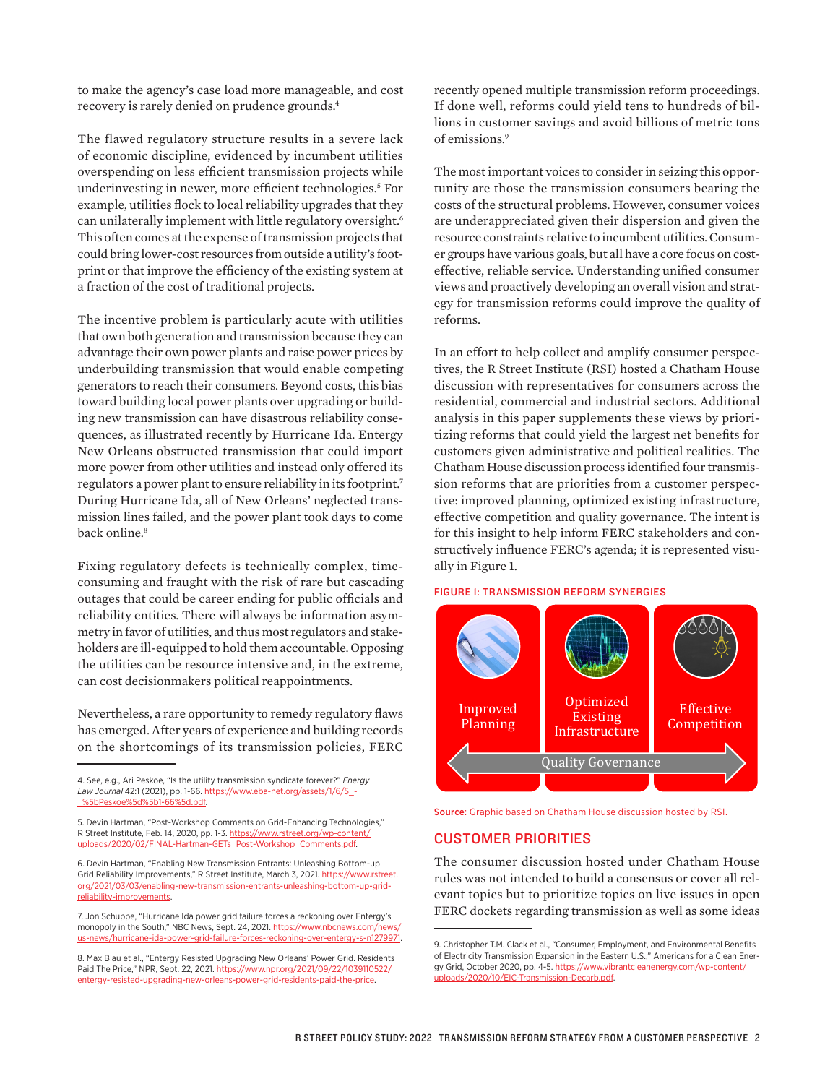to make the agency's case load more manageable, and cost recovery is rarely denied on prudence grounds.<sup>4</sup>

The flawed regulatory structure results in a severe lack of economic discipline, evidenced by incumbent utilities overspending on less efficient transmission projects while underinvesting in newer, more efficient technologies.5 For example, utilities flock to local reliability upgrades that they can unilaterally implement with little regulatory oversight.<sup>6</sup> This often comes at the expense of transmission projects that could bring lower-cost resources from outside a utility's footprint or that improve the efficiency of the existing system at a fraction of the cost of traditional projects.

The incentive problem is particularly acute with utilities that own both generation and transmission because they can advantage their own power plants and raise power prices by underbuilding transmission that would enable competing generators to reach their consumers. Beyond costs, this bias toward building local power plants over upgrading or building new transmission can have disastrous reliability consequences, as illustrated recently by Hurricane Ida. Entergy New Orleans obstructed transmission that could import more power from other utilities and instead only offered its regulators a power plant to ensure reliability in its footprint.7 During Hurricane Ida, all of New Orleans' neglected transmission lines failed, and the power plant took days to come back online.<sup>8</sup>

Fixing regulatory defects is technically complex, timeconsuming and fraught with the risk of rare but cascading outages that could be career ending for public officials and reliability entities. There will always be information asymmetry in favor of utilities, and thus most regulators and stakeholders are ill-equipped to hold them accountable. Opposing the utilities can be resource intensive and, in the extreme, can cost decisionmakers political reappointments.

Nevertheless, a rare opportunity to remedy regulatory flaws has emerged. After years of experience and building records on the shortcomings of its transmission policies, FERC

recently opened multiple transmission reform proceedings. If done well, reforms could yield tens to hundreds of billions in customer savings and avoid billions of metric tons of emissions.9

The most important voices to consider in seizing this opportunity are those the transmission consumers bearing the costs of the structural problems. However, consumer voices are underappreciated given their dispersion and given the resource constraints relative to incumbent utilities. Consumer groups have various goals, but all have a core focus on costeffective, reliable service. Understanding unified consumer views and proactively developing an overall vision and strategy for transmission reforms could improve the quality of reforms.

In an effort to help collect and amplify consumer perspectives, the R Street Institute (RSI) hosted a Chatham House discussion with representatives for consumers across the residential, commercial and industrial sectors. Additional analysis in this paper supplements these views by prioritizing reforms that could yield the largest net benefits for customers given administrative and political realities. The Chatham House discussion process identified four transmission reforms that are priorities from a customer perspective: improved planning, optimized existing infrastructure, effective competition and quality governance. The intent is for this insight to help inform FERC stakeholders and constructively influence FERC's agenda; it is represented visually in Figure 1.

#### FIGURE 1: TRANSMISSION REFORM SYNERGIES



Source: Graphic based on Chatham House discussion hosted by RSI. **Source:** Graphic based on Chatham House discussion hosted by RSI.

#### CUSTOMER PRIORITIES WAS NOT INTENDED TO BUILD A CONSENSUS OR THE CHATHAM HOUSE INTENDED TO BUILD A CONSENSUS O

The consumer discussion hosted under Chatham House rules was not intended to build a consensus or cover all relevant topics but to prioritize topics on live issues in open FERC dockets regarding transmission as well as some ideas

bypass means of prioritizing projects with higher net benefits for customers. Exemptions from regional

<sup>4.</sup> See, e.g., Ari Peskoe, "Is the utility transmission syndicate forever?" *Energy Law Journal* 42:1 (2021), pp. 1-66. [https://www.eba-net.org/assets/1/6/5\\_-](https://www.eba-net.org/assets/1/6/5_-_%5bPeskoe%5d%5b1-66%5d.pdf) [\\_%5bPeskoe%5d%5b1-66%5d.pdf](https://www.eba-net.org/assets/1/6/5_-_%5bPeskoe%5d%5b1-66%5d.pdf).

<sup>5.</sup> Devin Hartman, "Post-Workshop Comments on Grid-Enhancing Technologies," R Street Institute, Feb. 14, 2020, pp. 1-3. [https://www.rstreet.org/wp-content/](https://www.rstreet.org/wp-content/uploads/2020/02/FINAL-Hartman-GETs_Post-Workshop_Comments.pdf) [uploads/2020/02/FINAL-Hartman-GETs\\_Post-Workshop\\_Comments.pdf](https://www.rstreet.org/wp-content/uploads/2020/02/FINAL-Hartman-GETs_Post-Workshop_Comments.pdf).

<sup>6.</sup> Devin Hartman, "Enabling New Transmission Entrants: Unleashing Bottom-up Grid Reliability Improvements," R Street Institute, March 3, 2021. [https://www.rstreet.](https://www.rstreet.org/2021/03/03/enabling-new-transmission-entrants-unleashing-bottom-up-grid-reliability-improvements/) [org/2021/03/03/enabling-new-transmission-entrants-unleashing-bottom-up-grid](https://www.rstreet.org/2021/03/03/enabling-new-transmission-entrants-unleashing-bottom-up-grid-reliability-improvements/)[reliability-improvements](https://www.rstreet.org/2021/03/03/enabling-new-transmission-entrants-unleashing-bottom-up-grid-reliability-improvements/).

<sup>7.</sup> Jon Schuppe, "Hurricane Ida power grid failure forces a reckoning over Entergy's monopoly in the South," NBC News, Sept. 24, 2021. [https://www.nbcnews.com/news/](https://www.nbcnews.com/news/us-news/hurricane-ida-power-grid-failure-forces-reckoning-over-entergy-s-n1279971) hurricane-ida-power-grid-failure-forces-reckoning-over-entergy-s-n1279971.

<sup>8.</sup> Max Blau et al., "Entergy Resisted Upgrading New Orleans' Power Grid. Residents Paid The Price," NPR, Sept. 22, 2021. [https://www.npr.org/2021/09/22/1039110522/](https://www.npr.org/2021/09/22/1039110522/entergy-resisted-upgrading-new-orleans-power-grid-residents-paid-the-price) [entergy-resisted-upgrading-new-orleans-power-grid-residents-paid-the-price.](https://www.npr.org/2021/09/22/1039110522/entergy-resisted-upgrading-new-orleans-power-grid-residents-paid-the-price)

<sup>.&</sup>lt;br>9. Christopher T.M. Clack et al., "Consumer, Employment, and Environmental Benefits of Electricity Transmission Expansion in the Eastern U.S.," Americans for a Clean Energy Grid, October 2020, pp. 4-5. [https://www.vibrantcleanenergy.com/wp-content/](https://www.vibrantcleanenergy.com/wp-content/uploads/2020/10/EIC-Transmission-Decarb.pdf) [uploads/2020/10/EIC-Transmission-Decarb.pdf](https://www.vibrantcleanenergy.com/wp-content/uploads/2020/10/EIC-Transmission-Decarb.pdf).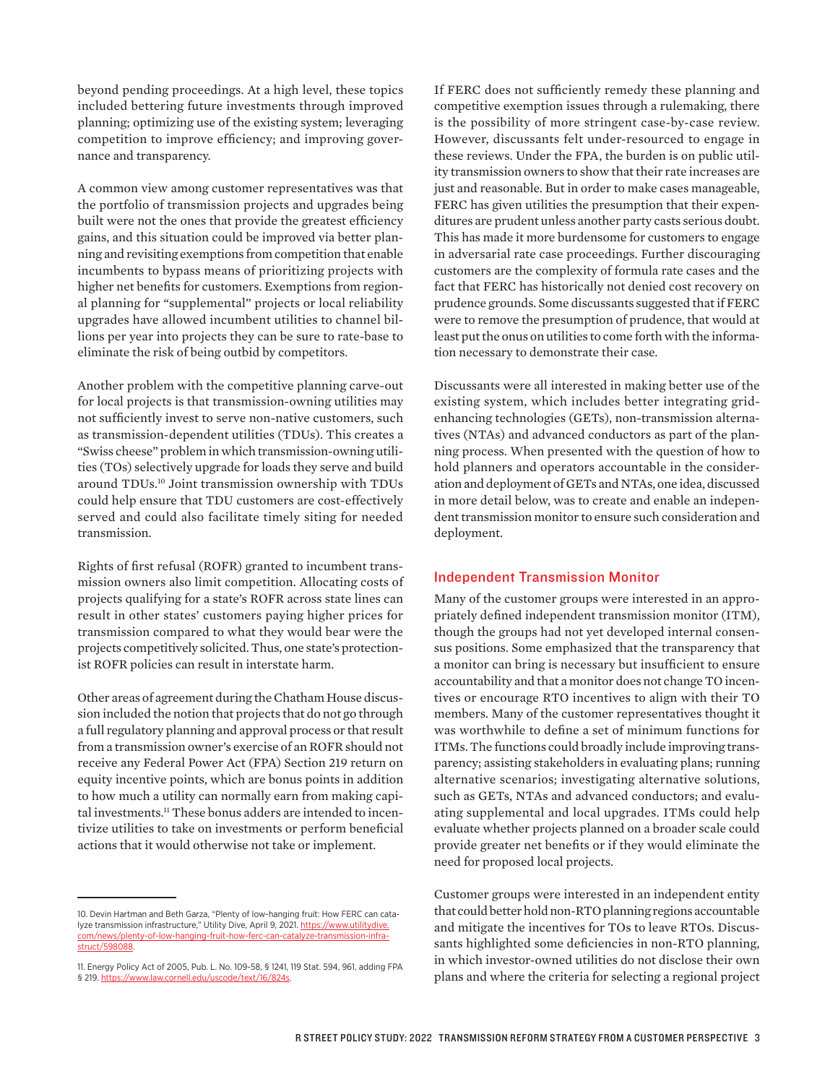beyond pending proceedings. At a high level, these topics included bettering future investments through improved planning; optimizing use of the existing system; leveraging competition to improve efficiency; and improving governance and transparency.

A common view among customer representatives was that the portfolio of transmission projects and upgrades being built were not the ones that provide the greatest efficiency gains, and this situation could be improved via better planning and revisiting exemptions from competition that enable incumbents to bypass means of prioritizing projects with higher net benefits for customers. Exemptions from regional planning for "supplemental" projects or local reliability upgrades have allowed incumbent utilities to channel billions per year into projects they can be sure to rate-base to eliminate the risk of being outbid by competitors.

Another problem with the competitive planning carve-out for local projects is that transmission-owning utilities may not sufficiently invest to serve non-native customers, such as transmission-dependent utilities (TDUs). This creates a "Swiss cheese" problem in which transmission-owning utilities (TOs) selectively upgrade for loads they serve and build around TDUs.10 Joint transmission ownership with TDUs could help ensure that TDU customers are cost-effectively served and could also facilitate timely siting for needed transmission.

Rights of first refusal (ROFR) granted to incumbent transmission owners also limit competition. Allocating costs of projects qualifying for a state's ROFR across state lines can result in other states' customers paying higher prices for transmission compared to what they would bear were the projects competitively solicited. Thus, one state's protectionist ROFR policies can result in interstate harm.

Other areas of agreement during the Chatham House discussion included the notion that projects that do not go through a full regulatory planning and approval process or that result from a transmission owner's exercise of an ROFR should not receive any Federal Power Act (FPA) Section 219 return on equity incentive points, which are bonus points in addition to how much a utility can normally earn from making capital investments.<sup>11</sup> These bonus adders are intended to incentivize utilities to take on investments or perform beneficial actions that it would otherwise not take or implement.

If FERC does not sufficiently remedy these planning and competitive exemption issues through a rulemaking, there is the possibility of more stringent case-by-case review. However, discussants felt under-resourced to engage in these reviews. Under the FPA, the burden is on public utility transmission owners to show that their rate increases are just and reasonable. But in order to make cases manageable, FERC has given utilities the presumption that their expenditures are prudent unless another party casts serious doubt. This has made it more burdensome for customers to engage in adversarial rate case proceedings. Further discouraging customers are the complexity of formula rate cases and the fact that FERC has historically not denied cost recovery on prudence grounds. Some discussants suggested that if FERC were to remove the presumption of prudence, that would at least put the onus on utilities to come forth with the information necessary to demonstrate their case.

Discussants were all interested in making better use of the existing system, which includes better integrating gridenhancing technologies (GETs), non-transmission alternatives (NTAs) and advanced conductors as part of the planning process. When presented with the question of how to hold planners and operators accountable in the consideration and deployment of GETs and NTAs, one idea, discussed in more detail below, was to create and enable an independent transmission monitor to ensure such consideration and deployment.

## Independent Transmission Monitor

Many of the customer groups were interested in an appropriately defined independent transmission monitor (ITM), though the groups had not yet developed internal consensus positions. Some emphasized that the transparency that a monitor can bring is necessary but insufficient to ensure accountability and that a monitor does not change TO incentives or encourage RTO incentives to align with their TO members. Many of the customer representatives thought it was worthwhile to define a set of minimum functions for ITMs. The functions could broadly include improving transparency; assisting stakeholders in evaluating plans; running alternative scenarios; investigating alternative solutions, such as GETs, NTAs and advanced conductors; and evaluating supplemental and local upgrades. ITMs could help evaluate whether projects planned on a broader scale could provide greater net benefits or if they would eliminate the need for proposed local projects.

Customer groups were interested in an independent entity that could better hold non-RTO planning regions accountable and mitigate the incentives for TOs to leave RTOs. Discussants highlighted some deficiencies in non-RTO planning, in which investor-owned utilities do not disclose their own plans and where the criteria for selecting a regional project

<sup>10.</sup> Devin Hartman and Beth Garza, "Plenty of low-hanging fruit: How FERC can catalyze transmission infrastructure," Utility Dive, April 9, 2021. [https://www.utilitydive.](https://www.utilitydive.com/news/plenty-of-low-hanging-fruit-how-ferc-can-catalyze-transmission-infrastruct/598088) [com/news/plenty-of-low-hanging-fruit-how-ferc-can-catalyze-transmission-infra](https://www.utilitydive.com/news/plenty-of-low-hanging-fruit-how-ferc-can-catalyze-transmission-infrastruct/598088)[struct/598088](https://www.utilitydive.com/news/plenty-of-low-hanging-fruit-how-ferc-can-catalyze-transmission-infrastruct/598088).

<sup>11.</sup> Energy Policy Act of 2005, Pub. L. No. 109-58, § 1241, 119 Stat. 594, 961, adding FPA § 219. [https://www.law.cornell.edu/uscode/text/16/824s.](https://www.law.cornell.edu/uscode/text/16/824s)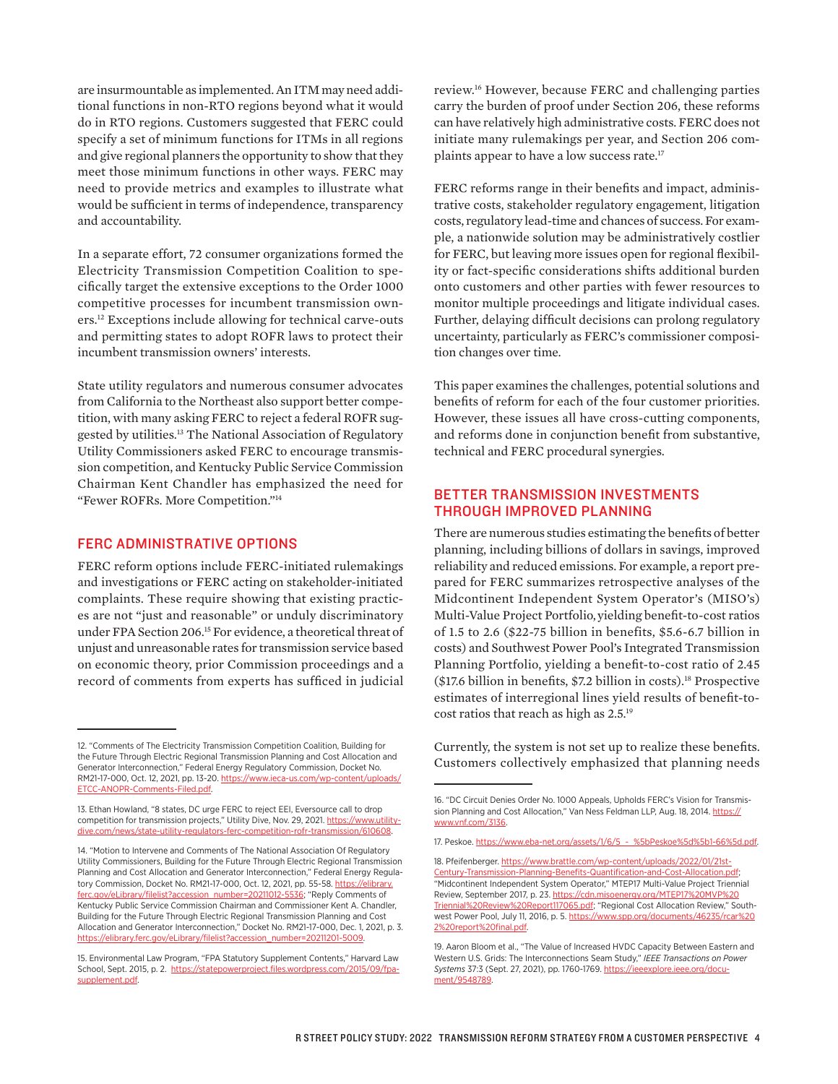are insurmountable as implemented. An ITM may need additional functions in non-RTO regions beyond what it would do in RTO regions. Customers suggested that FERC could specify a set of minimum functions for ITMs in all regions and give regional planners the opportunity to show that they meet those minimum functions in other ways. FERC may need to provide metrics and examples to illustrate what would be sufficient in terms of independence, transparency and accountability.

In a separate effort, 72 consumer organizations formed the Electricity Transmission Competition Coalition to specifically target the extensive exceptions to the Order 1000 competitive processes for incumbent transmission owners.12 Exceptions include allowing for technical carve-outs and permitting states to adopt ROFR laws to protect their incumbent transmission owners' interests.

State utility regulators and numerous consumer advocates from California to the Northeast also support better competition, with many asking FERC to reject a federal ROFR suggested by utilities.<sup>13</sup> The National Association of Regulatory Utility Commissioners asked FERC to encourage transmission competition, and Kentucky Public Service Commission Chairman Kent Chandler has emphasized the need for "Fewer ROFRs. More Competition."14

#### FERC ADMINISTRATIVE OPTIONS

FERC reform options include FERC-initiated rulemakings and investigations or FERC acting on stakeholder-initiated complaints. These require showing that existing practices are not "just and reasonable" or unduly discriminatory under FPA Section 206.15 For evidence, a theoretical threat of unjust and unreasonable rates for transmission service based on economic theory, prior Commission proceedings and a record of comments from experts has sufficed in judicial

review.16 However, because FERC and challenging parties carry the burden of proof under Section 206, these reforms can have relatively high administrative costs. FERC does not initiate many rulemakings per year, and Section 206 complaints appear to have a low success rate.<sup>17</sup>

FERC reforms range in their benefits and impact, administrative costs, stakeholder regulatory engagement, litigation costs, regulatory lead-time and chances of success. For example, a nationwide solution may be administratively costlier for FERC, but leaving more issues open for regional flexibility or fact-specific considerations shifts additional burden onto customers and other parties with fewer resources to monitor multiple proceedings and litigate individual cases. Further, delaying difficult decisions can prolong regulatory uncertainty, particularly as FERC's commissioner composition changes over time.

This paper examines the challenges, potential solutions and benefits of reform for each of the four customer priorities. However, these issues all have cross-cutting components, and reforms done in conjunction benefit from substantive, technical and FERC procedural synergies.

## BETTER TRANSMISSION INVESTMENTS THROUGH IMPROVED PLANNING

There are numerous studies estimating the benefits of better planning, including billions of dollars in savings, improved reliability and reduced emissions. For example, a report prepared for FERC summarizes retrospective analyses of the Midcontinent Independent System Operator's (MISO's) Multi-Value Project Portfolio,yielding benefit-to-cost ratios of 1.5 to 2.6 (\$22-75 billion in benefits, \$5.6-6.7 billion in costs) and Southwest Power Pool's Integrated Transmission Planning Portfolio, yielding a benefit-to-cost ratio of 2.45  $($17.6$ billion in benefits, $7.2 billion in costs).$ <sup>18</sup> Prospective estimates of interregional lines yield results of benefit-tocost ratios that reach as high as 2.5.19

Currently, the system is not set up to realize these benefits. Customers collectively emphasized that planning needs

<sup>12. &</sup>quot;Comments of The Electricity Transmission Competition Coalition, Building for the Future Through Electric Regional Transmission Planning and Cost Allocation and Generator Interconnection," Federal Energy Regulatory Commission, Docket No. RM21-17-000, Oct. 12, 2021, pp. 13-20. [https://www.ieca-us.com/wp-content/uploads/](https://www.ieca-us.com/wp-content/uploads/ETCC-ANOPR-Comments-Filed.pdf) [ETCC-ANOPR-Comments-Filed.pdf](https://www.ieca-us.com/wp-content/uploads/ETCC-ANOPR-Comments-Filed.pdf).

<sup>13.</sup> Ethan Howland, "8 states, DC urge FERC to reject EEI, Eversource call to drop competition for transmission projects," Utility Dive, Nov. 29, 2021. [https://www.utility](https://www.utilitydive.com/news/state-utility-regulators-ferc-competition-rofr-transmission/610608/)[dive.com/news/state-utility-regulators-ferc-competition-rofr-transmission/610608.](https://www.utilitydive.com/news/state-utility-regulators-ferc-competition-rofr-transmission/610608/)

<sup>14. &</sup>quot;Motion to Intervene and Comments of The National Association Of Regulatory Utility Commissioners, Building for the Future Through Electric Regional Transmission Planning and Cost Allocation and Generator Interconnection," Federal Energy Regulatory Commission, Docket No. RM21-17-000, Oct. 12, 2021, pp. 55-58. [https://elibrary.](https://elibrary.ferc.gov/eLibrary/filelist?accession_number=20211012-5536) [ferc.gov/eLibrary/filelist?accession\\_number=20211012-5536;](https://elibrary.ferc.gov/eLibrary/filelist?accession_number=20211012-5536) "Reply Comments of Kentucky Public Service Commission Chairman and Commissioner Kent A. Chandler, Building for the Future Through Electric Regional Transmission Planning and Cost Allocation and Generator Interconnection," Docket No. RM21-17-000, Dec. 1, 2021, p. 3. rary.ferc.gov/eLibrary/filelist?a

<sup>15.</sup> Environmental Law Program, "FPA Statutory Supplement Contents," Harvard Law School, Sept. 2015, p. 2.  [https://statepowerproject.files.wordpress.com/2015/09/fpa](https://statepowerproject.files.wordpress.com/2015/09/fpa-supplement.pdf)[supplement.pdf](https://statepowerproject.files.wordpress.com/2015/09/fpa-supplement.pdf).

<sup>16. &</sup>quot;DC Circuit Denies Order No. 1000 Appeals, Upholds FERC's Vision for Transmission Planning and Cost Allocation," Van Ness Feldman LLP, Aug. 18, 2014. [https://](https://www.vnf.com/3136) [www.vnf.com/3136.](https://www.vnf.com/3136)

<sup>17.</sup> Peskoe. [https://www.eba-net.org/assets/1/6/5\\_-\\_%5bPeskoe%5d%5b1-66%5d.pdf](https://www.eba-net.org/assets/1/6/5_-_%5bPeskoe%5d%5b1-66%5d.pdf).

<sup>18.</sup> Pfeifenberger. [https://www.brattle.com/wp-content/uploads/2022/01/21st-](https://www.brattle.com/wp-content/uploads/2022/01/21st-Century-Transmission-Planning-Benefits-Quantification-and-Cost-Allocation.pdf)[Century-Transmission-Planning-Benefits-Quantification-and-Cost-Allocation.pdf;](https://www.brattle.com/wp-content/uploads/2022/01/21st-Century-Transmission-Planning-Benefits-Quantification-and-Cost-Allocation.pdf) "Midcontinent Independent System Operator," MTEP17 Multi-Value Project Triennial Review, September 2017, p. 23. [https://cdn.misoenergy.org/MTEP17%20MVP%20](https://cdn.misoenergy.org/MTEP17%20MVP%20Triennial%20Review%20Report117065.pdf) [Triennial%20Review%20Report117065.pdf;](https://cdn.misoenergy.org/MTEP17%20MVP%20Triennial%20Review%20Report117065.pdf) "Regional Cost Allocation Review," Southwest Power Pool, July 11, 2016, p. 5. [https://www.spp.org/documents/46235/rcar%20](https://www.spp.org/documents/46235/rcar%202%20report%20final.pdf) [2%20report%20final.pdf.](https://www.spp.org/documents/46235/rcar%202%20report%20final.pdf)

<sup>19.</sup> Aaron Bloom et al., "The Value of Increased HVDC Capacity Between Eastern and Western U.S. Grids: The Interconnections Seam Study," *IEEE Transactions on Power Systems* 37:3 (Sept. 27, 2021), pp. 1760-1769. [https://ieeexplore.ieee.org/docu](https://ieeexplore.ieee.org/document/9548789)[ment/9548789](https://ieeexplore.ieee.org/document/9548789).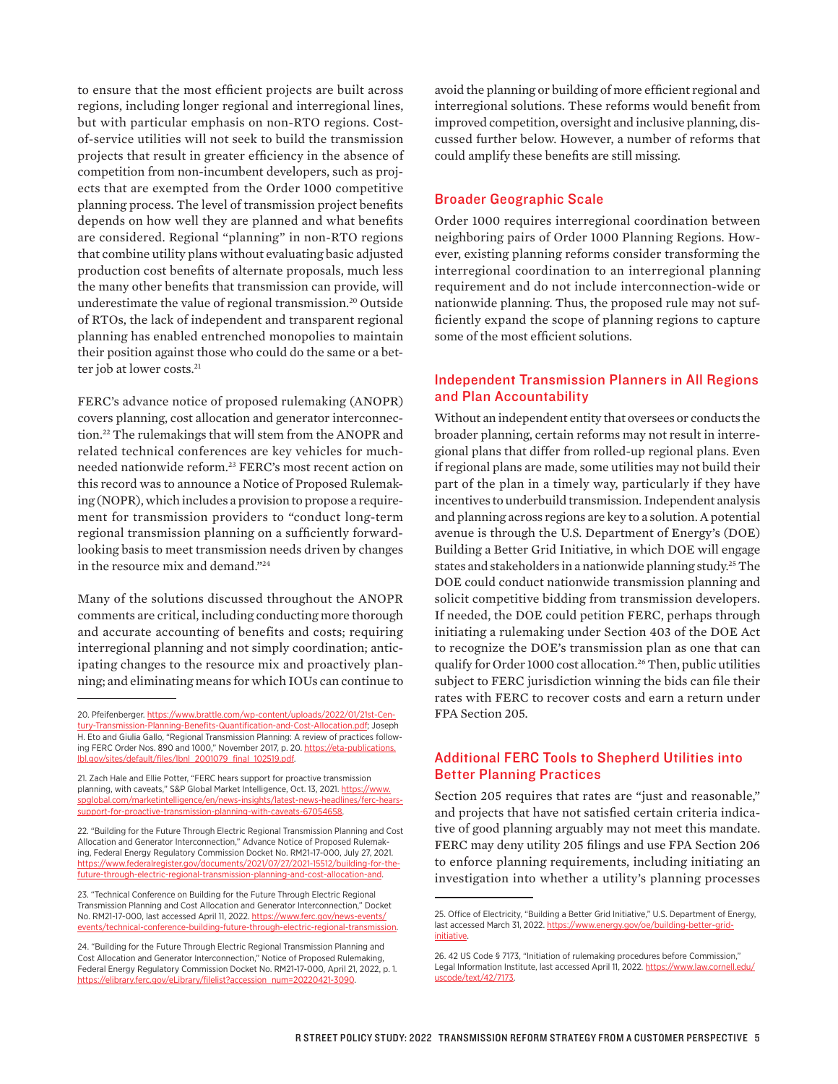to ensure that the most efficient projects are built across regions, including longer regional and interregional lines, but with particular emphasis on non-RTO regions. Costof-service utilities will not seek to build the transmission projects that result in greater efficiency in the absence of competition from non-incumbent developers, such as projects that are exempted from the Order 1000 competitive planning process. The level of transmission project benefits depends on how well they are planned and what benefits are considered. Regional "planning" in non-RTO regions that combine utility plans without evaluating basic adjusted production cost benefits of alternate proposals, much less the many other benefits that transmission can provide, will underestimate the value of regional transmission.<sup>20</sup> Outside of RTOs, the lack of independent and transparent regional planning has enabled entrenched monopolies to maintain their position against those who could do the same or a better job at lower costs.<sup>21</sup>

FERC's advance notice of proposed rulemaking (ANOPR) covers planning, cost allocation and generator interconnection.22 The rulemakings that will stem from the ANOPR and related technical conferences are key vehicles for muchneeded nationwide reform.23 FERC's most recent action on this record was to announce a Notice of Proposed Rulemaking (NOPR), which includes a provision to propose a requirement for transmission providers to "conduct long-term regional transmission planning on a sufficiently forwardlooking basis to meet transmission needs driven by changes in the resource mix and demand."24

Many of the solutions discussed throughout the ANOPR comments are critical, including conducting more thorough and accurate accounting of benefits and costs; requiring interregional planning and not simply coordination; anticipating changes to the resource mix and proactively planning; and eliminating means for which IOUs can continue to

20. Pfeifenberger. [https://www.brattle.com/wp-content/uploads/2022/01/21st-Cen](https://www.brattle.com/wp-content/uploads/2022/01/21st-Century-Transmission-Planning-Benefits-Quantification-and-Cost-Allocation.pdf)[tury-Transmission-Planning-Benefits-Quantification-and-Cost-Allocation.pdf](https://www.brattle.com/wp-content/uploads/2022/01/21st-Century-Transmission-Planning-Benefits-Quantification-and-Cost-Allocation.pdf); Joseph H. Eto and Giulia Gallo, "Regional Transmission Planning: A review of practices following FERC Order Nos. 890 and 1000," November 2017, p. 20. [https://eta-publications.](https://eta-publications.lbl.gov/sites/default/files/lbnl_2001079_final_102519.pdf) [lbl.gov/sites/default/files/lbnl\\_2001079\\_final\\_102519.pdf.](https://eta-publications.lbl.gov/sites/default/files/lbnl_2001079_final_102519.pdf)

21. Zach Hale and Ellie Potter, "FERC hears support for proactive transmission planning, with caveats," S&P Global Market Intelligence, Oct. 13, 2021. [https://www.](https://www.spglobal.com/marketintelligence/en/news-insights/latest-news-headlines/ferc-hears-support-for-proactive-transmission-planning-with-caveats-67054658) [spglobal.com/marketintelligence/en/news-insights/latest-news-headlines/ferc-hears](https://www.spglobal.com/marketintelligence/en/news-insights/latest-news-headlines/ferc-hears-support-for-proactive-transmission-planning-with-caveats-67054658)[support-for-proactive-transmission-planning-with-caveats-67054658](https://www.spglobal.com/marketintelligence/en/news-insights/latest-news-headlines/ferc-hears-support-for-proactive-transmission-planning-with-caveats-67054658).

22. "Building for the Future Through Electric Regional Transmission Planning and Cost Allocation and Generator Interconnection," Advance Notice of Proposed Rulemaking, Federal Energy Regulatory Commission Docket No. RM21-17-000, July 27, 2021. [https://www.federalregister.gov/documents/2021/07/27/2021-15512/building-for-the](https://www.federalregister.gov/documents/2021/07/27/2021-15512/building-for-the-future-through-electric-regional-transmission-planning-and-cost-allocation-and)[future-through-electric-regional-transmission-planning-and-cost-allocation-and.](https://www.federalregister.gov/documents/2021/07/27/2021-15512/building-for-the-future-through-electric-regional-transmission-planning-and-cost-allocation-and)

23. "Technical Conference on Building for the Future Through Electric Regional Transmission Planning and Cost Allocation and Generator Interconnection," Docket No. RM21-17-000, last accessed April 11, 2022. https://www.ferc.gov/news-events [events/technical-conference-building-future-through-electric-regional-transmission.](https://www.ferc.gov/news-events/events/technical-conference-building-future-through-electric-regional-transmission)

24. "Building for the Future Through Electric Regional Transmission Planning and Cost Allocation and Generator Interconnection," Notice of Proposed Rulemaking, Federal Energy Regulatory Commission Docket No. RM21-17-000, April 21, 2022, p. 1. [https://elibrary.ferc.gov/eLibrary/filelist?accession\\_num=20220421-3090.](https://elibrary.ferc.gov/eLibrary/filelist?accession_num=20220421-3090)

avoid the planning or building of more efficient regional and interregional solutions. These reforms would benefit from improved competition, oversight and inclusive planning, discussed further below. However, a number of reforms that could amplify these benefits are still missing.

#### Broader Geographic Scale

Order 1000 requires interregional coordination between neighboring pairs of Order 1000 Planning Regions. However, existing planning reforms consider transforming the interregional coordination to an interregional planning requirement and do not include interconnection-wide or nationwide planning. Thus, the proposed rule may not sufficiently expand the scope of planning regions to capture some of the most efficient solutions.

## Independent Transmission Planners in All Regions and Plan Accountability

Without an independent entity that oversees or conducts the broader planning, certain reforms may not result in interregional plans that differ from rolled-up regional plans. Even if regional plans are made, some utilities may not build their part of the plan in a timely way, particularly if they have incentives to underbuild transmission. Independent analysis and planning across regions are key to a solution. A potential avenue is through the U.S. Department of Energy's (DOE) Building a Better Grid Initiative, in which DOE will engage states and stakeholders in a nationwide planning study.25 The DOE could conduct nationwide transmission planning and solicit competitive bidding from transmission developers. If needed, the DOE could petition FERC, perhaps through initiating a rulemaking under Section 403 of the DOE Act to recognize the DOE's transmission plan as one that can qualify for Order 1000 cost allocation.26 Then, public utilities subject to FERC jurisdiction winning the bids can file their rates with FERC to recover costs and earn a return under FPA Section 205.

#### Additional FERC Tools to Shepherd Utilities into Better Planning Practices

Section 205 requires that rates are "just and reasonable," and projects that have not satisfied certain criteria indicative of good planning arguably may not meet this mandate. FERC may deny utility 205 filings and use FPA Section 206 to enforce planning requirements, including initiating an investigation into whether a utility's planning processes

<sup>25.</sup> Office of Electricity, "Building a Better Grid Initiative," U.S. Department of Energy, last accessed March 31, 2022. [https://www.energy.gov/oe/building-better-grid](https://www.energy.gov/oe/building-better-grid-initiative)[initiative](https://www.energy.gov/oe/building-better-grid-initiative).

<sup>26. 42</sup> US Code § 7173, "Initiation of rulemaking procedures before Commission," Legal Information Institute, last accessed April 11, 2022. [https://www.law.cornell.edu/](https://www.law.cornell.edu/uscode/text/42/7173) [uscode/text/42/7173](https://www.law.cornell.edu/uscode/text/42/7173).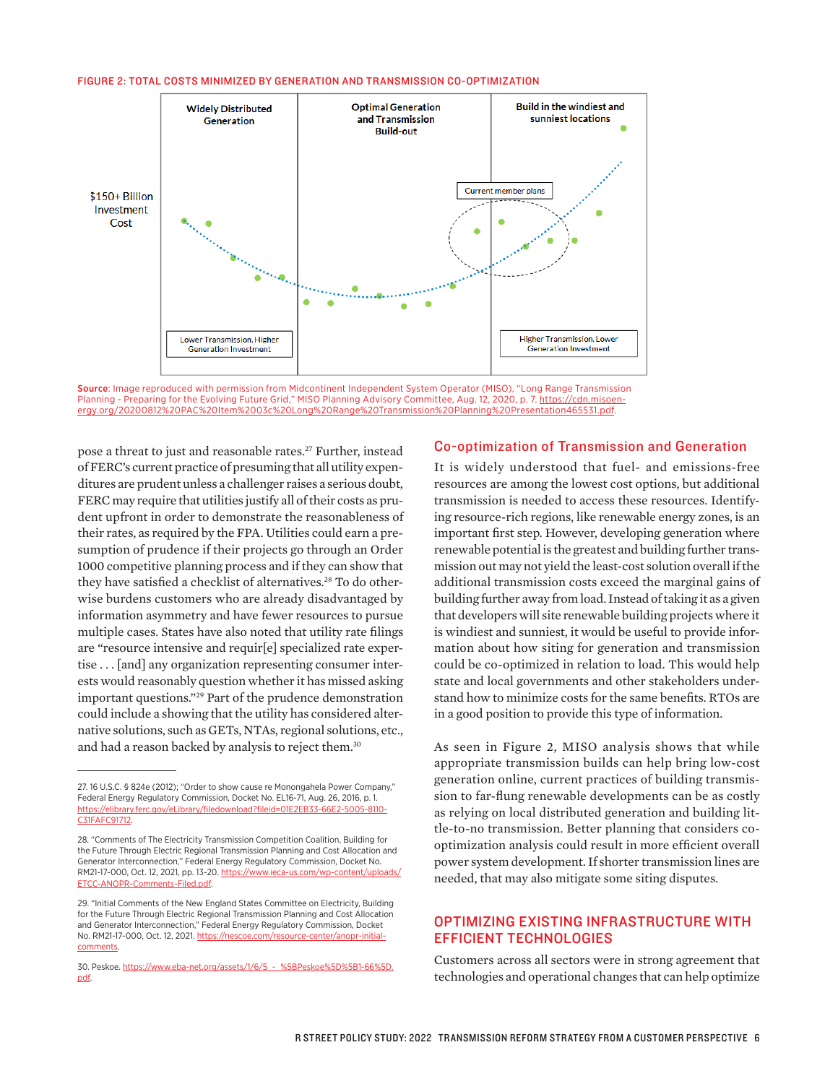#### FIGURE 2: TOTAL COSTS MINIMIZED BY GENERATION AND TRANSMISSION CO-OPTIMIZATION



Source: Image reproduced with permission from Midcontinent Independent System Operator (MISO), "Long Range Transmission Planning - Preparing for the Evolving Future Grid," MISO Planning Advisory Committee, Aug. 12, 2020, p. 7. [https://cdn.misoen](https://cdn.misoenergy.org/20200812%20PAC%20Item%2003c%20Long%20Range%20Transmission%20Planning%20Presentation465531.pdf)[ergy.org/20200812%20PAC%20Item%2003c%20Long%20Range%20Transmission%20Planning%20Presentation465531.pdf](https://cdn.misoenergy.org/20200812%20PAC%20Item%2003c%20Long%20Range%20Transmission%20Planning%20Presentation465531.pdf).<br>.

pose a threat to just and reasonable rates.<sup>27</sup> Further, instead of FERC's current practice of presuming that all utility expenditures are prudent unless a challenger raises a serious doubt, FERC may require that utilities justify all of their costs as pru-<br> dent upfront in order to demonstrate the reasonableness of their rates, as required by the FPA. Utilities could earn a pre-<br>Their rates, as required by the FPA. Utilities could earn a pre-<br>Important first step. However, develop sumption of prudence if their projects go through an Order enewable potential is the greates sumption of protected in their projects go through an order three broad competitive planning process and if they can show that mission they have satisfied a checklist of alternatives.28 To do other-*Non-Transmission Alternatives (NTAs) or Non-Wires Solutions*  wise burdens customers who are already disadvantaged by information asymmetry and have fewer resources to pursue that developers will site renewable bo multiple cases. States have also noted that utility rate filings are "resource intensive and requir[e] specialized rate exper- mation about how tise . . . [and] any organization representing consumer inter-could be co-optimized in relation to l ests would reasonably question whether it has missed asking important questions."29 Part of the prudence demonstration could include a showing that the utility has considered alternative solutions, such as GETs, NTAs, regional solutions, etc., and had a reason backed by analysis to reject them.30

#### Co-optimization of Transmission and Generation https://cdn.misoenergy.org/20200812%20PAC%20Item%2003c%20Long%20Range%20Transmission%20Planning%

It is widely understood that fuel- and emissions-free resources are among the lowest cost options, but additional transmission is needed to access these resources. Identifying resource-rich regions, like renewable energy zones, is an important first step. However, developing generation where renewable potential is the greatest and building further transmission out may not yield the least-cost solution overall if the additional transmission costs exceed the marginal gains of building further away from load. Instead of taking it as a given that developers will site renewable building projects where it is windiest and sunniest, it would be useful to provide information about how siting for generation and transmission could be co-optimized in relation to load. This would help state and local governments and other stakeholders understand how to minimize costs for the same benefits. RTOs are in a good position to provide this type of information.

As seen in Figure 2, MISO analysis shows that while appropriate transmission builds can help bring low-cost generation online, current practices of building transmission to far-flung renewable developments can be as costly as relying on local distributed generation and building little-to-no transmission. Better planning that considers cooptimization analysis could result in more efficient overall power system development. If shorter transmission lines are needed, that may also mitigate some siting disputes.

## OPTIMIZING EXISTING INFRASTRUCTURE WITH EFFICIENT TECHNOLOGIES

Customers across all sectors were in strong agreement that technologies and operational changes that can help optimize

<sup>27. 16</sup> U.S.C. § 824e (2012); "Order to show cause re Monongahela Power Company," Federal Energy Regulatory Commission, Docket No. EL16-71, Aug. 26, 2016, p. 1. https://elibrary.ferc.gov/eLibrary/filedownload?fileid=01E2EB3 [C31FAFC91712.](https://elibrary.ferc.gov/eLibrary/filedownload?fileid=01E2EB33-66E2-5005-8110-C31FAFC91712)

<sup>28. &</sup>quot;Comments of The Electricity Transmission Competition Coalition, Building for the Future Through Electric Regional Transmission Planning and Cost Allocation and Generator Interconnection," Federal Energy Regulatory Commission, Docket No. RM21-17-000, Oct. 12, 2021, pp. 13-20. [https://www.ieca-us.com/wp-content/uploads/](https://www.ieca-us.com/wp-content/uploads/ETCC-ANOPR-Comments-Filed.pdf) [ETCC-ANOPR-Comments-Filed.pdf](https://www.ieca-us.com/wp-content/uploads/ETCC-ANOPR-Comments-Filed.pdf).

<sup>29. &</sup>quot;Initial Comments of the New England States Committee on Electricity, Building for the Future Through Electric Regional Transmission Planning and Cost Allocation and Generator Interconnection," Federal Energy Regulatory Commission, Docket No. RM21-17-000, Oct. 12, 2021. [https://nescoe.com/resource-center/anopr-initial](https://nescoe.com/resource-center/anopr-initial-comments)[comments.](https://nescoe.com/resource-center/anopr-initial-comments)

<sup>30.</sup> Peskoe. [https://www.eba-net.org/assets/1/6/5\\_-\\_%5BPeskoe%5D%5B1-66%5D.](https://www.eba-net.org/assets/1/6/5_-_%5BPeskoe%5D%5B1-66%5D.pdf) [pdf.](https://www.eba-net.org/assets/1/6/5_-_%5BPeskoe%5D%5B1-66%5D.pdf)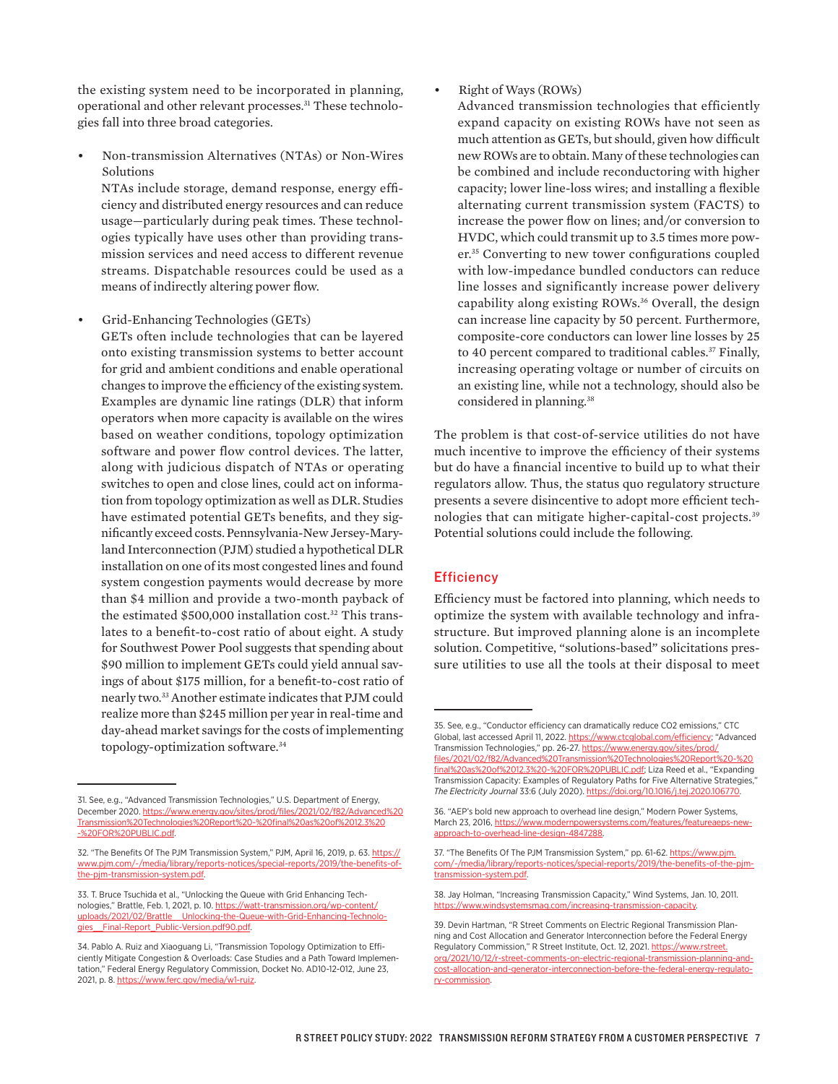the existing system need to be incorporated in planning, operational and other relevant processes.<sup>31</sup> These technologies fall into three broad categories.

• Non-transmission Alternatives (NTAs) or Non-Wires Solutions

NTAs include storage, demand response, energy efficiency and distributed energy resources and can reduce usage—particularly during peak times. These technologies typically have uses other than providing transmission services and need access to different revenue streams. Dispatchable resources could be used as a means of indirectly altering power flow.

• Grid-Enhancing Technologies (GETs)

GETs often include technologies that can be layered onto existing transmission systems to better account for grid and ambient conditions and enable operational changes to improve the efficiency of the existing system. Examples are dynamic line ratings (DLR) that inform operators when more capacity is available on the wires based on weather conditions, topology optimization software and power flow control devices. The latter, along with judicious dispatch of NTAs or operating switches to open and close lines, could act on information from topology optimization as well as DLR. Studies have estimated potential GETs benefits, and they significantly exceed costs. Pennsylvania-New Jersey-Maryland Interconnection (PJM) studied a hypothetical DLR installation on one of its most congested lines and found system congestion payments would decrease by more than \$4 million and provide a two-month payback of the estimated \$500,000 installation cost.<sup>32</sup> This translates to a benefit-to-cost ratio of about eight. A study for Southwest Power Pool suggests that spending about \$90 million to implement GETs could yield annual savings of about \$175 million, for a benefit-to-cost ratio of nearly two.33 Another estimate indicates that PJM could realize more than \$245 million per year in real-time and day-ahead market savings for the costs of implementing topology-optimization software.34

• Right of Ways (ROWs)

Advanced transmission technologies that efficiently expand capacity on existing ROWs have not seen as much attention as GETs, but should, given how difficult new ROWs are to obtain. Many of these technologies can be combined and include reconductoring with higher capacity; lower line-loss wires; and installing a flexible alternating current transmission system (FACTS) to increase the power flow on lines; and/or conversion to HVDC, which could transmit up to 3.5 times more power.35 Converting to new tower configurations coupled with low-impedance bundled conductors can reduce line losses and significantly increase power delivery capability along existing ROWs.36 Overall, the design can increase line capacity by 50 percent. Furthermore, composite-core conductors can lower line losses by 25 to 40 percent compared to traditional cables.<sup>37</sup> Finally, increasing operating voltage or number of circuits on an existing line, while not a technology, should also be considered in planning.<sup>38</sup>

The problem is that cost-of-service utilities do not have much incentive to improve the efficiency of their systems but do have a financial incentive to build up to what their regulators allow. Thus, the status quo regulatory structure presents a severe disincentive to adopt more efficient technologies that can mitigate higher-capital-cost projects.39 Potential solutions could include the following.

#### **Efficiency**

Efficiency must be factored into planning, which needs to optimize the system with available technology and infrastructure. But improved planning alone is an incomplete solution. Competitive, "solutions-based" solicitations pressure utilities to use all the tools at their disposal to meet

<sup>31.</sup> See, e.g., "Advanced Transmission Technologies," U.S. Department of Energy, December 2020. [https://www.energy.gov/sites/prod/files/2021/02/f82/Advanced%20](https://www.energy.gov/sites/prod/files/2021/02/f82/Advanced%20Transmission%20Technologies%20Report%20-%20final%20as%20of%2012.3%20-%20FOR%20PUBLIC.pdf) [Transmission%20Technologies%20Report%20-%20final%20as%20of%2012.3%20](https://www.energy.gov/sites/prod/files/2021/02/f82/Advanced%20Transmission%20Technologies%20Report%20-%20final%20as%20of%2012.3%20-%20FOR%20PUBLIC.pdf) [-%20FOR%20PUBLIC.pdf](https://www.energy.gov/sites/prod/files/2021/02/f82/Advanced%20Transmission%20Technologies%20Report%20-%20final%20as%20of%2012.3%20-%20FOR%20PUBLIC.pdf).

<sup>32. &</sup>quot;The Benefits Of The PJM Transmission System," PJM, April 16, 2019, p. 63. [https://](https://www.pjm.com/-/media/library/reports-notices/special-reports/2019/the-benefits-of-the-pjm-transmission-system.pdf) [www.pjm.com/-/media/library/reports-notices/special-reports/2019/the-benefits-of](https://www.pjm.com/-/media/library/reports-notices/special-reports/2019/the-benefits-of-the-pjm-transmission-system.pdf)[the-pjm-transmission-system.pdf.](https://www.pjm.com/-/media/library/reports-notices/special-reports/2019/the-benefits-of-the-pjm-transmission-system.pdf)

<sup>33.</sup> T. Bruce Tsuchida et al., "Unlocking the Queue with Grid Enhancing Technologies," Brattle, Feb. 1, 2021, p. 10. [https://watt-transmission.org/wp-content/](https://watt-transmission.org/wp-content/uploads/2021/02/Brattle__Unlocking-the-Queue-with-Grid-Enhancing-Technologies__Final-Report_Public-Version.pdf90.pdf) uploads/2021/02/Brattle\_Unlocking-the-Queue-with-Grid-Enhancing-Technolo-<br>gies\_Final-Report\_Public-Version.pdf90.pdf. Final-Report\_Public-Version.pdf90.pdf

<sup>34.</sup> Pablo A. Ruiz and Xiaoguang Li, "Transmission Topology Optimization to Efficiently Mitigate Congestion & Overloads: Case Studies and a Path Toward Implementation," Federal Energy Regulatory Commission, Docket No. AD10-12-012, June 23, 2021, p. 8. [https://www.ferc.gov/media/w1-ruiz.](https://www.ferc.gov/media/w1-ruiz)

<sup>35.</sup> See, e.g., "Conductor efficiency can dramatically reduce CO2 emissions," CTC Global, last accessed April 11, 2022. [https://www.ctcglobal.com/efficiency;](https://www.ctcglobal.com/efficiency) "Advanced Transmission Technologies," pp. 26-27. [https://www.energy.gov/sites/prod/](https://www.energy.gov/sites/prod/files/2021/02/f82/Advanced%20Transmission%20Technologies%20Report%20-%20final%20as%20of%2012.3%20-%20FOR%20PUBLIC.pdf) [files/2021/02/f82/Advanced%20Transmission%20Technologies%20Report%20-%20](https://www.energy.gov/sites/prod/files/2021/02/f82/Advanced%20Transmission%20Technologies%20Report%20-%20final%20as%20of%2012.3%20-%20FOR%20PUBLIC.pdf) [final%20as%20of%2012.3%20-%20FOR%20PUBLIC.pdf;](https://www.energy.gov/sites/prod/files/2021/02/f82/Advanced%20Transmission%20Technologies%20Report%20-%20final%20as%20of%2012.3%20-%20FOR%20PUBLIC.pdf) Liza Reed et al., "Expanding Transmission Capacity: Examples of Regulatory Paths for Five Alternative Strategies," *The Electricity Journal* 33:6 (July 2020). <https://doi.org/10.1016/j.tej.2020.106770>.

<sup>36. &</sup>quot;AEP's bold new approach to overhead line design," Modern Power Systems, March 23, 2016, [https://www.modernpowersystems.com/features/featureaeps-new](https://www.modernpowersystems.com/features/featureaeps-new-approach-to-overhead-line-design-4847288)[approach-to-overhead-line-design-4847288](https://www.modernpowersystems.com/features/featureaeps-new-approach-to-overhead-line-design-4847288).

<sup>37. &</sup>quot;The Benefits Of The PJM Transmission System," pp. 61-62. [https://www.pjm.](https://www.pjm.com/-/media/library/reports-notices/special-reports/2019/the-benefits-of-the-pjm-transmission-system.pdf) [com/-/media/library/reports-notices/special-reports/2019/the-benefits-of-the-pjm](https://www.pjm.com/-/media/library/reports-notices/special-reports/2019/the-benefits-of-the-pjm-transmission-system.pdf)[transmission-system.pdf.](https://www.pjm.com/-/media/library/reports-notices/special-reports/2019/the-benefits-of-the-pjm-transmission-system.pdf)

<sup>38.</sup> Jay Holman, "Increasing Transmission Capacity," Wind Systems, Jan. 10, 2011. [https://www.windsystemsmag.com/increasing-transmission-capacity.](https://www.windsystemsmag.com/increasing-transmission-capacity)

<sup>39.</sup> Devin Hartman, "R Street Comments on Electric Regional Transmission Planning and Cost Allocation and Generator Interconnection before the Federal Energy Regulatory Commission," R Street Institute, Oct. 12, 2021. [https://www.rstreet.](https://www.rstreet.org/2021/10/12/r-street-comments-on-electric-regional-transmission-planning-and-cost-allocation-and-generator-interconnection-before-the-federal-energy-regulatory-commission/) [org/2021/10/12/r-street-comments-on-electric-regional-transmission-planning-and](https://www.rstreet.org/2021/10/12/r-street-comments-on-electric-regional-transmission-planning-and-cost-allocation-and-generator-interconnection-before-the-federal-energy-regulatory-commission/)[cost-allocation-and-generator-interconnection-before-the-federal-energy-regulato](https://www.rstreet.org/2021/10/12/r-street-comments-on-electric-regional-transmission-planning-and-cost-allocation-and-generator-interconnection-before-the-federal-energy-regulatory-commission/)[ry-commission](https://www.rstreet.org/2021/10/12/r-street-comments-on-electric-regional-transmission-planning-and-cost-allocation-and-generator-interconnection-before-the-federal-energy-regulatory-commission/).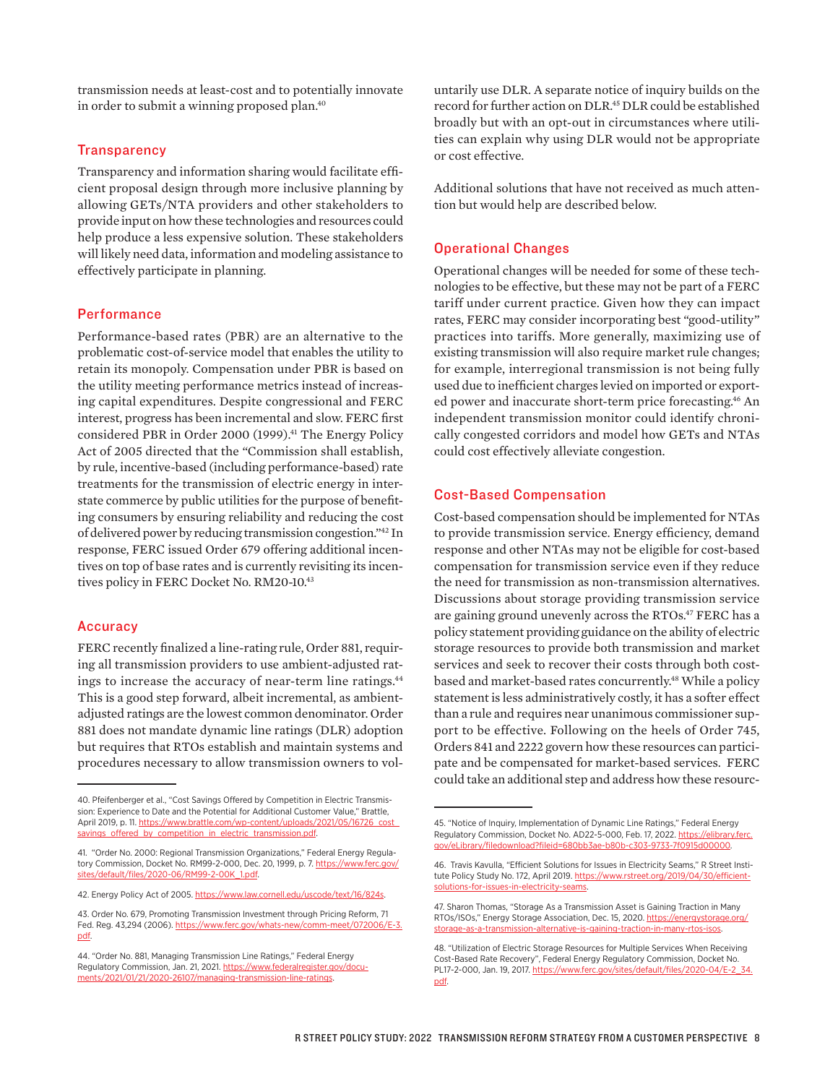transmission needs at least-cost and to potentially innovate in order to submit a winning proposed plan. 40

#### **Transparency**

Transparency and information sharing would facilitate efficient proposal design through more inclusive planning by allowing GETs/NTA providers and other stakeholders to provide input on how these technologies and resources could help produce a less expensive solution. These stakeholders will likely need data, information and modeling assistance to effectively participate in planning.

#### **Performance**

Performance-based rates (PBR) are an alternative to the problematic cost-of-service model that enables the utility to retain its monopoly. Compensation under PBR is based on the utility meeting performance metrics instead of increasing capital expenditures. Despite congressional and FERC interest, progress has been incremental and slow. FERC first considered PBR in Order 2000 (1999).<sup>41</sup> The Energy Policy Act of 2005 directed that the "Commission shall establish, by rule, incentive-based (including performance-based) rate treatments for the transmission of electric energy in interstate commerce by public utilities for the purpose of benefiting consumers by ensuring reliability and reducing the cost of delivered power by reducing transmission congestion."42 In response, FERC issued Order 679 offering additional incentives on top of base rates and is currently revisiting its incentives policy in FERC Docket No. RM20-10.43

#### **Accuracy**

FERC recently finalized a line-rating rule, Order 881, requiring all transmission providers to use ambient-adjusted ratings to increase the accuracy of near-term line ratings.<sup>44</sup> This is a good step forward, albeit incremental, as ambientadjusted ratings are the lowest common denominator. Order 881 does not mandate dynamic line ratings (DLR) adoption but requires that RTOs establish and maintain systems and procedures necessary to allow transmission owners to vol-

untarily use DLR. A separate notice of inquiry builds on the record for further action on DLR.45 DLR could be established broadly but with an opt-out in circumstances where utilities can explain why using DLR would not be appropriate or cost effective.

Additional solutions that have not received as much attention but would help are described below.

#### Operational Changes

Operational changes will be needed for some of these technologies to be effective, but these may not be part of a FERC tariff under current practice. Given how they can impact rates, FERC may consider incorporating best "good-utility" practices into tariffs. More generally, maximizing use of existing transmission will also require market rule changes; for example, interregional transmission is not being fully used due to inefficient charges levied on imported or exported power and inaccurate short-term price forecasting.<sup>46</sup> An independent transmission monitor could identify chronically congested corridors and model how GETs and NTAs could cost effectively alleviate congestion.

#### Cost-Based Compensation

Cost-based compensation should be implemented for NTAs to provide transmission service. Energy efficiency, demand response and other NTAs may not be eligible for cost-based compensation for transmission service even if they reduce the need for transmission as non-transmission alternatives. Discussions about storage providing transmission service are gaining ground unevenly across the RTOs.<sup>47</sup> FERC has a policy statement providing guidance on the ability of electric storage resources to provide both transmission and market services and seek to recover their costs through both costbased and market-based rates concurrently.<sup>48</sup> While a policy statement is less administratively costly, it has a softer effect than a rule and requires near unanimous commissioner support to be effective. Following on the heels of Order 745, Orders 841 and 2222 govern how these resources can participate and be compensated for market-based services. FERC could take an additional step and address how these resourc-

<sup>40.</sup> Pfeifenberger et al., "Cost Savings Offered by Competition in Electric Transmission: Experience to Date and the Potential for Additional Customer Value," Brattle April 2019, p. 11. [https://www.brattle.com/wp-content/uploads/2021/05/16726\\_cost\\_](https://www.brattle.com/wp-content/uploads/2021/05/16726_cost_savings_offered_by_competition_in_electric_transmission.pdf) [savings\\_offered\\_by\\_competition\\_in\\_electric\\_transmission.pdf.](https://www.brattle.com/wp-content/uploads/2021/05/16726_cost_savings_offered_by_competition_in_electric_transmission.pdf)

<sup>41. &</sup>quot;Order No. 2000: Regional Transmission Organizations," Federal Energy Regulatory Commission, Docket No. RM99-2-000, Dec. 20, 1999, p. 7. [https://www.ferc.gov/](https://www.ferc.gov/sites/default/files/2020-06/RM99-2-00K_1.pdf) [sites/default/files/2020-06/RM99-2-00K\\_1.pdf](https://www.ferc.gov/sites/default/files/2020-06/RM99-2-00K_1.pdf).

<sup>42.</sup> Energy Policy Act of 2005. [https://www.law.cornell.edu/uscode/text/16/824s.](https://www.law.cornell.edu/uscode/text/16/824s)

<sup>43.</sup> Order No. 679, Promoting Transmission Investment through Pricing Reform, 71 Fed. Reg. 43,294 (2006). https://www.ferc.gov/whats-new/comm-mee [pdf.](https://www.ferc.gov/whats-new/comm-meet/072006/E-3.pdf)

<sup>44. &</sup>quot;Order No. 881, Managing Transmission Line Ratings," Federal Energy Regulatory Commission, Jan. 21, 2021. [https://www.federalregister.gov/docu](https://www.federalregister.gov/documents/2021/01/21/2020-26107/managing-transmission-line-ratings)[ments/2021/01/21/2020-26107/managing-transmission-line-ratings](https://www.federalregister.gov/documents/2021/01/21/2020-26107/managing-transmission-line-ratings).

<sup>45. &</sup>quot;Notice of Inquiry, Implementation of Dynamic Line Ratings," Federal Energy Regulatory Commission, Docket No. AD22-5-000, Feb. 17, 2022. [https://elibrary.ferc.](https://elibrary.ferc.gov/eLibrary/filedownload?fileid=680bb3ae-b80b-c303-9733-7f0915d00000) [gov/eLibrary/filedownload?fileid=680bb3ae-b80b-c303-9733-7f0915d00000.](https://elibrary.ferc.gov/eLibrary/filedownload?fileid=680bb3ae-b80b-c303-9733-7f0915d00000)

<sup>46.</sup> Travis Kavulla, "Efficient Solutions for Issues in Electricity Seams," R Street Institute Policy Study No. 172, April 2019. [https://www.rstreet.org/2019/04/30/efficient](https://www.rstreet.org/2019/04/30/efficient-solutions-for-issues-in-electricity-seams)solutions-for-issues-in-electricity-seams

<sup>47.</sup> Sharon Thomas, "Storage As a Transmission Asset is Gaining Traction in Many RTOs/ISOs," Energy Storage Association, Dec. 15, 2020. [https://energystorage.org/](https://energystorage.org/storage-as-a-transmission-alternative-is-gaining-traction-in-many-rtos-isos/) [storage-as-a-transmission-alternative-is-gaining-traction-in-many-rtos-isos.](https://energystorage.org/storage-as-a-transmission-alternative-is-gaining-traction-in-many-rtos-isos/)

<sup>48. &</sup>quot;Utilization of Electric Storage Resources for Multiple Services When Receiving Cost-Based Rate Recovery", Federal Energy Regulatory Commission, Docket No. PL17-2-000, Jan. 19, 2017. https://www.ferc.gov/sites/default/files/2020-04/E-2 [pdf](https://www.ferc.gov/sites/default/files/2020-04/E-2_34.pdf).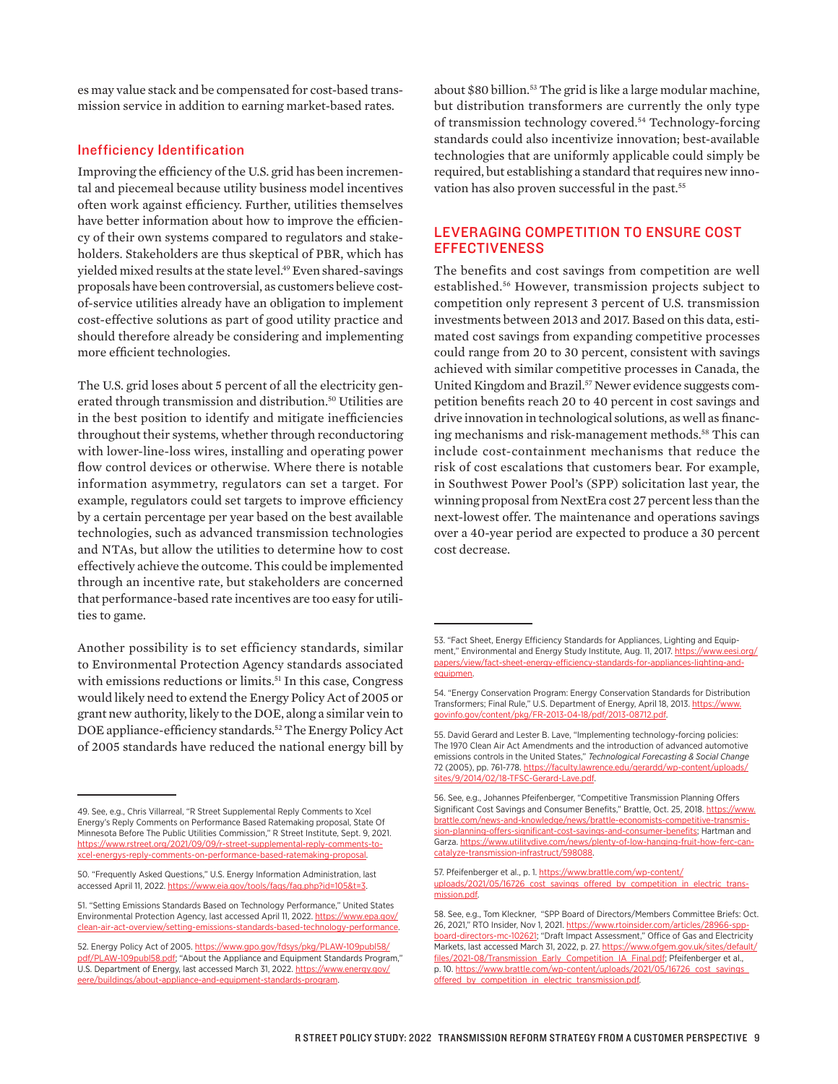es may value stack and be compensated for cost-based transmission service in addition to earning market-based rates.

#### Inefficiency Identification

Improving the efficiency of the U.S. grid has been incremental and piecemeal because utility business model incentives often work against efficiency. Further, utilities themselves have better information about how to improve the efficiency of their own systems compared to regulators and stakeholders. Stakeholders are thus skeptical of PBR, which has yielded mixed results at the state level.<sup>49</sup> Even shared-savings proposals have been controversial, as customers believe costof-service utilities already have an obligation to implement cost-effective solutions as part of good utility practice and should therefore already be considering and implementing more efficient technologies.

The U.S. grid loses about 5 percent of all the electricity generated through transmission and distribution.<sup>50</sup> Utilities are in the best position to identify and mitigate inefficiencies throughout their systems, whether through reconductoring with lower-line-loss wires, installing and operating power flow control devices or otherwise. Where there is notable information asymmetry, regulators can set a target. For example, regulators could set targets to improve efficiency by a certain percentage per year based on the best available technologies, such as advanced transmission technologies and NTAs, but allow the utilities to determine how to cost effectively achieve the outcome. This could be implemented through an incentive rate, but stakeholders are concerned that performance-based rate incentives are too easy for utilities to game.

Another possibility is to set efficiency standards, similar to Environmental Protection Agency standards associated with emissions reductions or limits.<sup>51</sup> In this case, Congress would likely need to extend the Energy Policy Act of 2005 or grant new authority, likely to the DOE, along a similar vein to DOE appliance-efficiency standards.52 The Energy Policy Act of 2005 standards have reduced the national energy bill by

about \$80 billion.<sup>53</sup> The grid is like a large modular machine, but distribution transformers are currently the only type of transmission technology covered.54 Technology-forcing standards could also incentivize innovation; best-available technologies that are uniformly applicable could simply be required, but establishing a standard that requires new innovation has also proven successful in the past.<sup>55</sup>

## LEVERAGING COMPETITION TO ENSURE COST **EFFECTIVENESS**

The benefits and cost savings from competition are well established.56 However, transmission projects subject to competition only represent 3 percent of U.S. transmission investments between 2013 and 2017. Based on this data, estimated cost savings from expanding competitive processes could range from 20 to 30 percent, consistent with savings achieved with similar competitive processes in Canada, the United Kingdom and Brazil.57 Newer evidence suggests competition benefits reach 20 to 40 percent in cost savings and drive innovation in technological solutions, as well as financing mechanisms and risk-management methods.<sup>58</sup> This can include cost-containment mechanisms that reduce the risk of cost escalations that customers bear. For example, in Southwest Power Pool's (SPP) solicitation last year, the winning proposal from NextEra cost 27 percent less than the next-lowest offer. The maintenance and operations savings over a 40-year period are expected to produce a 30 percent cost decrease.

<sup>49.</sup> See, e.g., Chris Villarreal, "R Street Supplemental Reply Comments to Xcel Energy's Reply Comments on Performance Based Ratemaking proposal, State Of Minnesota Before The Public Utilities Commission," R Street Institute, Sept. 9, 2021. [https://www.rstreet.org/2021/09/09/r-street-supplemental-reply-comments-to](https://www.rstreet.org/2021/09/09/r-street-supplemental-reply-comments-to-xcel-energys-reply-comments-on-performance-based-ratemaking-proposal)[xcel-energys-reply-comments-on-performance-based-ratemaking-proposal.](https://www.rstreet.org/2021/09/09/r-street-supplemental-reply-comments-to-xcel-energys-reply-comments-on-performance-based-ratemaking-proposal)

<sup>50. &</sup>quot;Frequently Asked Questions," U.S. Energy Information Administration, last accessed April 11, 2022. <https://www.eia.gov/tools/faqs/faq.php?id=105&t=3>.

<sup>51. &</sup>quot;Setting Emissions Standards Based on Technology Performance," United States Environmental Protection Agency, last accessed April 11, 2022. [https://www.epa.gov/](https://www.epa.gov/clean-air-act-overview/setting-emissions-standards-based-technology-performance) [clean-air-act-overview/setting-emissions-standards-based-technology-performance.](https://www.epa.gov/clean-air-act-overview/setting-emissions-standards-based-technology-performance)

<sup>52.</sup> Energy Policy Act of 2005. [https://www.gpo.gov/fdsys/pkg/PLAW-109publ58/](https://www.gpo.gov/fdsys/pkg/PLAW-109publ58/pdf/PLAW-109publ58.pdf) [pdf/PLAW-109publ58.pdf](https://www.gpo.gov/fdsys/pkg/PLAW-109publ58/pdf/PLAW-109publ58.pdf); "About the Appliance and Equipment Standards Program," U.S. Department of Energy, last accessed March 31, 2022. [https://www.energy.gov/](https://www.energy.gov/eere/buildings/about-appliance-and-equipment-standards-program) [eere/buildings/about-appliance-and-equipment-standards-program.](https://www.energy.gov/eere/buildings/about-appliance-and-equipment-standards-program)

<sup>53. &</sup>quot;Fact Sheet, Energy Efficiency Standards for Appliances, Lighting and Equipment," Environmental and Energy Study Institute, Aug. 11, 2017. [https://www.eesi.org/](https://www.eesi.org/papers/view/fact-sheet-energy-efficiency-standards-for-appliances-lighting-and-equipmen) [papers/view/fact-sheet-energy-efficiency-standards-for-appliances-lighting-and](https://www.eesi.org/papers/view/fact-sheet-energy-efficiency-standards-for-appliances-lighting-and-equipmen)[equipmen](https://www.eesi.org/papers/view/fact-sheet-energy-efficiency-standards-for-appliances-lighting-and-equipmen).

<sup>54. &</sup>quot;Energy Conservation Program: Energy Conservation Standards for Distribution Transformers; Final Rule," U.S. Department of Energy, April 18, 2013. [https://www.](https://www.govinfo.gov/content/pkg/FR-2013-04-18/pdf/2013-08712.pdf) [govinfo.gov/content/pkg/FR-2013-04-18/pdf/2013-08712.pdf.](https://www.govinfo.gov/content/pkg/FR-2013-04-18/pdf/2013-08712.pdf)

<sup>55.</sup> David Gerard and Lester B. Lave, "Implementing technology-forcing policies: The 1970 Clean Air Act Amendments and the introduction of advanced automotive emissions controls in the United States," *Technological Forecasting & Social Change* 72 (2005), pp. 761-778. [https://faculty.lawrence.edu/gerardd/wp-content/uploads/](https://faculty.lawrence.edu/gerardd/wp-content/uploads/sites/9/2014/02/18-TFSC-Gerard-Lave.pdf) [sites/9/2014/02/18-TFSC-Gerard-Lave.pdf](https://faculty.lawrence.edu/gerardd/wp-content/uploads/sites/9/2014/02/18-TFSC-Gerard-Lave.pdf).

<sup>56.</sup> See, e.g., Johannes Pfeifenberger, "Competitive Transmission Planning Offers Significant Cost Savings and Consumer Benefits," Brattle, Oct. 25, 2018. [https://www.](https://www.brattle.com/news-and-knowledge/news/brattle-economists-competitive-transmission-planning-offers-significant-cost-savings-and-consumer-benefits) [brattle.com/news-and-knowledge/news/brattle-economists-competitive-transmis](https://www.brattle.com/news-and-knowledge/news/brattle-economists-competitive-transmission-planning-offers-significant-cost-savings-and-consumer-benefits)[sion-planning-offers-significant-cost-savings-and-consumer-benefits](https://www.brattle.com/news-and-knowledge/news/brattle-economists-competitive-transmission-planning-offers-significant-cost-savings-and-consumer-benefits); Hartman and Garza. [https://www.utilitydive.com/news/plenty-of-low-hanging-fruit-how-ferc-can](https://www.utilitydive.com/news/plenty-of-low-hanging-fruit-how-ferc-can-catalyze-transmission-infrastruct/598088)[catalyze-transmission-infrastruct/598088](https://www.utilitydive.com/news/plenty-of-low-hanging-fruit-how-ferc-can-catalyze-transmission-infrastruct/598088).

<sup>57.</sup> Pfeifenberger et al., p. 1. [https://www.brattle.com/wp-content/](https://www.brattle.com/wp-content/uploads/2021/05/16726_cost_savings_offered_by_competition_in_electric_transmission.pdf) [uploads/2021/05/16726\\_cost\\_savings\\_offered\\_by\\_competition\\_in\\_electric\\_trans](https://www.brattle.com/wp-content/uploads/2021/05/16726_cost_savings_offered_by_competition_in_electric_transmission.pdf)[mission.pdf.](https://www.brattle.com/wp-content/uploads/2021/05/16726_cost_savings_offered_by_competition_in_electric_transmission.pdf)

<sup>58.</sup> See, e.g., Tom Kleckner, "SPP Board of Directors/Members Committee Briefs: Oct. 26, 2021," RTO Insider, Nov 1, 2021. https://www.rtoinsider.com/articles/28966-spp [board-directors-mc-102621](https://www.rtoinsider.com/articles/28966-spp-board-directors-mc-102621); "Draft Impact Assessment," Office of Gas and Electricity Markets, last accessed March 31, 2022, p. 27. [https://www.ofgem.gov.uk/sites/default/](https://www.ofgem.gov.uk/sites/default/files/2021-08/Transmission_Early_Competition_IA_Final.pdf) [files/2021-08/Transmission\\_Early\\_Competition\\_IA\\_Final.pdf;](https://www.ofgem.gov.uk/sites/default/files/2021-08/Transmission_Early_Competition_IA_Final.pdf) Pfeifenberger et al., p. 10. [https://www.brattle.com/wp-content/uploads/2021/05/16726\\_cost\\_savings\\_](https://www.brattle.com/wp-content/uploads/2021/05/16726_cost_savings_offered_by_competition_in_electric_transmission.pdf) offered by competition in electric transmission.pdf.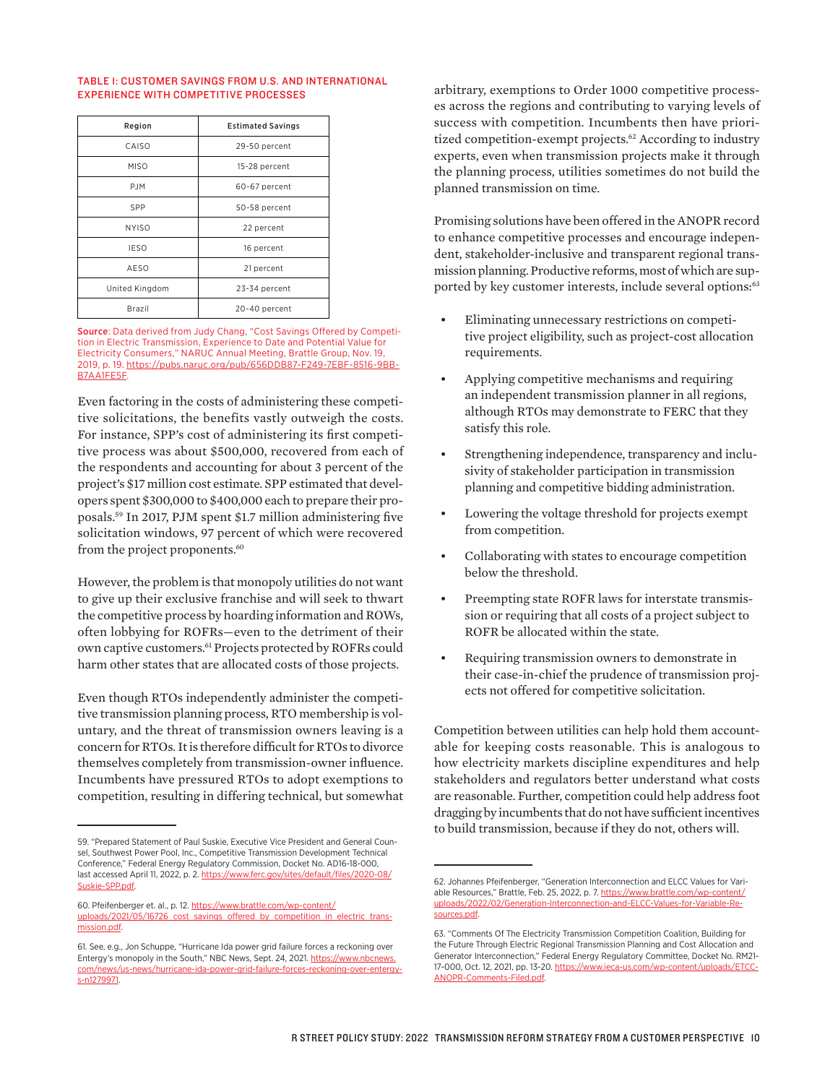#### TABLE 1: CUSTOMER SAVINGS FROM U.S. AND INTERNATIONAL EXPERIENCE WITH COMPETITIVE PROCESSES

| Region         | <b>Estimated Savings</b> |
|----------------|--------------------------|
| CAISO          | 29-50 percent            |
| <b>MISO</b>    | 15-28 percent            |
| P.IM           | 60-67 percent            |
| SPP            | 50-58 percent            |
| <b>NYISO</b>   | 22 percent               |
| <b>IESO</b>    | 16 percent               |
| AESO           | 21 percent               |
| United Kingdom | 23-34 percent            |
| Brazil         | 20-40 percent            |

Source: Data derived from Judy Chang, "Cost Savings Offered by Competition in Electric Transmission, Experience to Date and Potential Value for Electricity Consumers," NARUC Annual Meeting, Brattle Group, Nov. 19, 2019, p. 19. [https://pubs.naruc.org/pub/656DDB87-F249-7EBF-8516-9BB-](https://pubs.naruc.org/pub/656DDB87-F249-7EBF-8516-9BBB7AA1FE5F)[B7AA1FE5F.](https://pubs.naruc.org/pub/656DDB87-F249-7EBF-8516-9BBB7AA1FE5F)

Even factoring in the costs of administering these competitive solicitations, the benefits vastly outweigh the costs. For instance, SPP's cost of administering its first competitive process was about \$500,000, recovered from each of the respondents and accounting for about 3 percent of the project's \$17 million cost estimate. SPP estimated that developers spent \$300,000 to \$400,000 each to prepare their proposals.59 In 2017, PJM spent \$1.7 million administering five solicitation windows, 97 percent of which were recovered from the project proponents.<sup>60</sup>

However, the problem is that monopoly utilities do not want to give up their exclusive franchise and will seek to thwart the competitive process by hoarding information and ROWs, often lobbying for ROFRs—even to the detriment of their own captive customers.61 Projects protected by ROFRs could harm other states that are allocated costs of those projects.

Even though RTOs independently administer the competitive transmission planning process, RTO membership is voluntary, and the threat of transmission owners leaving is a concern for RTOs. It is therefore difficult for RTOs to divorce themselves completely from transmission-owner influence. Incumbents have pressured RTOs to adopt exemptions to competition, resulting in differing technical, but somewhat

arbitrary, exemptions to Order 1000 competitive processes across the regions and contributing to varying levels of success with competition. Incumbents then have prioritized competition-exempt projects.<sup>62</sup> According to industry experts, even when transmission projects make it through the planning process, utilities sometimes do not build the planned transmission on time.

Promising solutions have been offered in the ANOPR record to enhance competitive processes and encourage independent, stakeholder-inclusive and transparent regional transmission planning. Productive reforms, most of which are supported by key customer interests, include several options:<sup>63</sup>

- Eliminating unnecessary restrictions on competitive project eligibility, such as project-cost allocation requirements.
- Applying competitive mechanisms and requiring an independent transmission planner in all regions, although RTOs may demonstrate to FERC that they satisfy this role.
- Strengthening independence, transparency and inclusivity of stakeholder participation in transmission planning and competitive bidding administration.
- Lowering the voltage threshold for projects exempt from competition.
- Collaborating with states to encourage competition below the threshold.
- Preempting state ROFR laws for interstate transmission or requiring that all costs of a project subject to ROFR be allocated within the state.
- Requiring transmission owners to demonstrate in their case-in-chief the prudence of transmission projects not offered for competitive solicitation.

Competition between utilities can help hold them accountable for keeping costs reasonable. This is analogous to how electricity markets discipline expenditures and help stakeholders and regulators better understand what costs are reasonable. Further, competition could help address foot dragging by incumbents that do not have sufficient incentives to build transmission, because if they do not, others will.

<sup>59. &</sup>quot;Prepared Statement of Paul Suskie, Executive Vice President and General Counsel, Southwest Power Pool, Inc., Competitive Transmission Development Technical Conference," Federal Energy Regulatory Commission, Docket No. AD16-18-000, last accessed April 11, 2022, p. 2. [https://www.ferc.gov/sites/default/files/2020-08/](https://www.ferc.gov/sites/default/files/2020-08/Suskie-SPP.pdf) Suskie-SPP.pdf

<sup>60.</sup> Pfeifenberger et. al., p. 12. [https://www.brattle.com/wp-content/](https://www.brattle.com/wp-content/uploads/2021/05/16726_cost_savings_offered_by_competition_in_electric_transmission.pdf) [uploads/2021/05/16726\\_cost\\_savings\\_offered\\_by\\_competition\\_in\\_electric\\_trans](https://www.brattle.com/wp-content/uploads/2021/05/16726_cost_savings_offered_by_competition_in_electric_transmission.pdf)[mission.pdf](https://www.brattle.com/wp-content/uploads/2021/05/16726_cost_savings_offered_by_competition_in_electric_transmission.pdf).

<sup>61.</sup> See, e.g., Jon Schuppe, "Hurricane Ida power grid failure forces a reckoning over Entergy's monopoly in the South," NBC News, Sept. 24, 2021. [https://www.nbcnews.](https://www.nbcnews.com/news/us-news/hurricane-ida-power-grid-failure-forces-reckoning-over-entergy-s-n1279971) [com/news/us-news/hurricane-ida-power-grid-failure-forces-reckoning-over-entergy](https://www.nbcnews.com/news/us-news/hurricane-ida-power-grid-failure-forces-reckoning-over-entergy-s-n1279971)[s-n1279971.](https://www.nbcnews.com/news/us-news/hurricane-ida-power-grid-failure-forces-reckoning-over-entergy-s-n1279971)

<sup>62.</sup> Johannes Pfeifenberger, "Generation Interconnection and ELCC Values for Variable Resources," Brattle, Feb. 25, 2022, p. 7. [https://www.brattle.com/wp-content/](https://www.brattle.com/wp-content/uploads/2022/02/Generation-Interconnection-and-ELCC-Values-for-Variable-Resources.pdf) [uploads/2022/02/Generation-Interconnection-and-ELCC-Values-for-Variable-Re](https://www.brattle.com/wp-content/uploads/2022/02/Generation-Interconnection-and-ELCC-Values-for-Variable-Resources.pdf)[sources.pdf](https://www.brattle.com/wp-content/uploads/2022/02/Generation-Interconnection-and-ELCC-Values-for-Variable-Resources.pdf).

<sup>63. &</sup>quot;Comments Of The Electricity Transmission Competition Coalition, Building for the Future Through Electric Regional Transmission Planning and Cost Allocation and Generator Interconnection," Federal Energy Regulatory Committee, Docket No. RM21- 17-000, Oct. 12, 2021, pp. 13-20. [https://www.ieca-us.com/wp-content/uploads/ETCC-](https://www.ieca-us.com/wp-content/uploads/ETCC-ANOPR-Comments-Filed.pdf)[ANOPR-Comments-Filed.pdf.](https://www.ieca-us.com/wp-content/uploads/ETCC-ANOPR-Comments-Filed.pdf)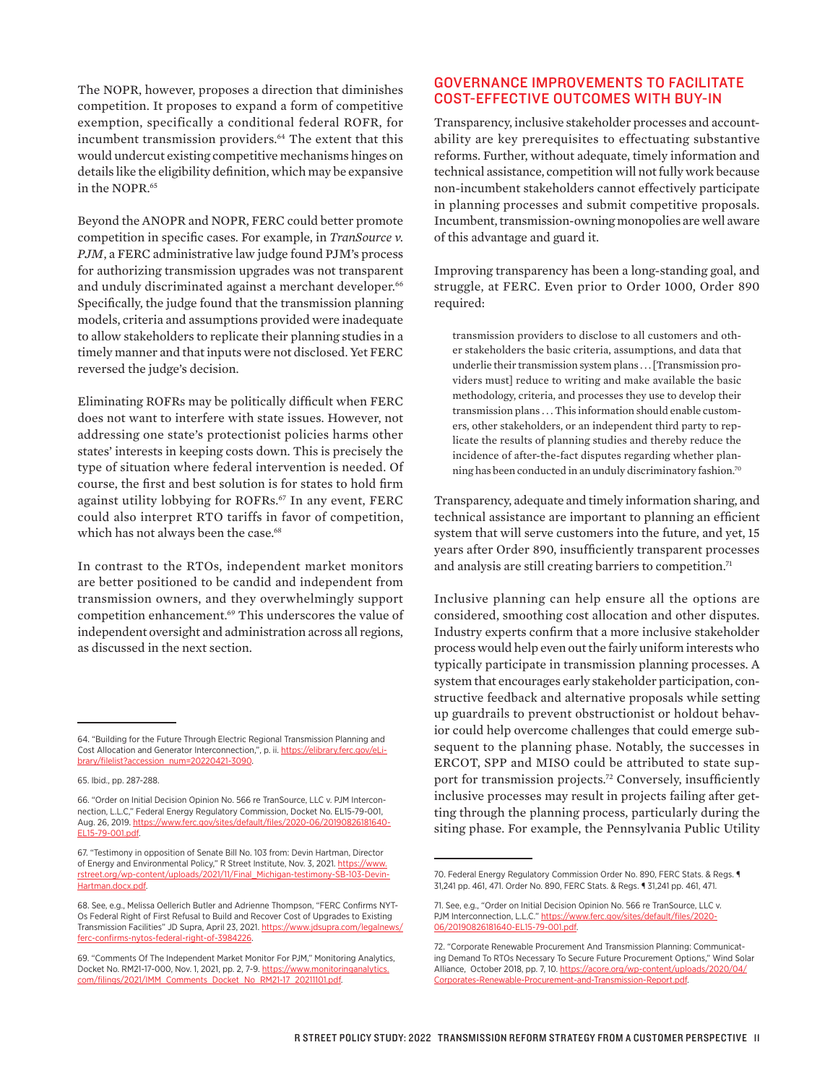The NOPR, however, proposes a direction that diminishes competition. It proposes to expand a form of competitive exemption, specifically a conditional federal ROFR, for incumbent transmission providers.<sup>64</sup> The extent that this would undercut existing competitive mechanisms hinges on details like the eligibility definition, which may be expansive in the NOPR.<sup>65</sup>

Beyond the ANOPR and NOPR, FERC could better promote competition in specific cases. For example, in *TranSource v. PJM*, a FERC administrative law judge found PJM's process for authorizing transmission upgrades was not transparent and unduly discriminated against a merchant developer.<sup>66</sup> Specifically, the judge found that the transmission planning models, criteria and assumptions provided were inadequate to allow stakeholders to replicate their planning studies in a timely manner and that inputs were not disclosed. Yet FERC reversed the judge's decision.

Eliminating ROFRs may be politically difficult when FERC does not want to interfere with state issues. However, not addressing one state's protectionist policies harms other states' interests in keeping costs down. This is precisely the type of situation where federal intervention is needed. Of course, the first and best solution is for states to hold firm against utility lobbying for ROFRs.67 In any event, FERC could also interpret RTO tariffs in favor of competition, which has not always been the case.<sup>68</sup>

In contrast to the RTOs, independent market monitors are better positioned to be candid and independent from transmission owners, and they overwhelmingly support competition enhancement.<sup>69</sup> This underscores the value of independent oversight and administration across all regions, as discussed in the next section.

## GOVERNANCE IMPROVEMENTS TO FACILITATE COST-EFFECTIVE OUTCOMES WITH BUY-IN

Transparency, inclusive stakeholder processes and accountability are key prerequisites to effectuating substantive reforms. Further, without adequate, timely information and technical assistance, competition will not fully work because non-incumbent stakeholders cannot effectively participate in planning processes and submit competitive proposals. Incumbent, transmission-owning monopolies are well aware of this advantage and guard it.

Improving transparency has been a long-standing goal, and struggle, at FERC. Even prior to Order 1000, Order 890 required:

transmission providers to disclose to all customers and other stakeholders the basic criteria, assumptions, and data that underlie their transmission system plans . . . [Transmission providers must] reduce to writing and make available the basic methodology, criteria, and processes they use to develop their transmission plans . . . This information should enable customers, other stakeholders, or an independent third party to replicate the results of planning studies and thereby reduce the incidence of after-the-fact disputes regarding whether planning has been conducted in an unduly discriminatory fashion.70

Transparency, adequate and timely information sharing, and technical assistance are important to planning an efficient system that will serve customers into the future, and yet, 15 years after Order 890, insufficiently transparent processes and analysis are still creating barriers to competition.<sup>71</sup>

Inclusive planning can help ensure all the options are considered, smoothing cost allocation and other disputes. Industry experts confirm that a more inclusive stakeholder process would help even out the fairly uniform interests who typically participate in transmission planning processes. A system that encourages early stakeholder participation, constructive feedback and alternative proposals while setting up guardrails to prevent obstructionist or holdout behavior could help overcome challenges that could emerge subsequent to the planning phase. Notably, the successes in ERCOT, SPP and MISO could be attributed to state support for transmission projects.<sup>72</sup> Conversely, insufficiently inclusive processes may result in projects failing after getting through the planning process, particularly during the siting phase. For example, the Pennsylvania Public Utility

<sup>64. &</sup>quot;Building for the Future Through Electric Regional Transmission Planning and Cost Allocation and Generator Interconnection,", p. ii. [https://elibrary.ferc.gov/eLi](https://elibrary.ferc.gov/eLibrary/filelist?accession_num=20220421-3090)[brary/filelist?accession\\_num=20220421-3090.](https://elibrary.ferc.gov/eLibrary/filelist?accession_num=20220421-3090)

<sup>65.</sup> Ibid., pp. 287-288.

<sup>66. &</sup>quot;Order on Initial Decision Opinion No. 566 re TranSource, LLC v. PJM Interconnection, L.L.C," Federal Energy Regulatory Commission, Docket No. EL15-79-001, Aug. 26, 2019. [https://www.ferc.gov/sites/default/files/2020-06/20190826181640-](https://www.ferc.gov/sites/default/files/2020-06/20190826181640-EL15-79-001.pdf) [EL15-79-001.pdf](https://www.ferc.gov/sites/default/files/2020-06/20190826181640-EL15-79-001.pdf).

<sup>67. &</sup>quot;Testimony in opposition of Senate Bill No. 103 from: Devin Hartman, Director of Energy and Environmental Policy," R Street Institute, Nov. 3, 2021. [https://www.](https://www.rstreet.org/wp-content/uploads/2021/11/Final_Michigan-testimony-SB-103-Devin-Hartman.docx.pdf) [rstreet.org/wp-content/uploads/2021/11/Final\\_Michigan-testimony-SB-103-Devin-](https://www.rstreet.org/wp-content/uploads/2021/11/Final_Michigan-testimony-SB-103-Devin-Hartman.docx.pdf)[Hartman.docx.pdf.](https://www.rstreet.org/wp-content/uploads/2021/11/Final_Michigan-testimony-SB-103-Devin-Hartman.docx.pdf)

<sup>68.</sup> See, e.g., Melissa Oellerich Butler and Adrienne Thompson, "FERC Confirms NYT-Os Federal Right of First Refusal to Build and Recover Cost of Upgrades to Existing Transmission Facilities" JD Supra, April 23, 2021. [https://www.jdsupra.com/legalnews/](https://www.jdsupra.com/legalnews/ferc-confirms-nytos-federal-right-of-3984226) onfirms-nytos-federal-right-of-3984226

<sup>69. &</sup>quot;Comments Of The Independent Market Monitor For PJM," Monitoring Analytics, Docket No. RM21-17-000, Nov. 1, 2021, pp. 2, 7-9. [https://www.monitoringanalytics.](https://www.monitoringanalytics.com/filings/2021/IMM_Comments_Docket_No_RM21-17_20211101.pdf) [com/filings/2021/IMM\\_Comments\\_Docket\\_No\\_RM21-17\\_20211101.pdf](https://www.monitoringanalytics.com/filings/2021/IMM_Comments_Docket_No_RM21-17_20211101.pdf).

<sup>70.</sup> Federal Energy Regulatory Commission Order No. 890, FERC Stats. & Regs. ¶ 31,241 pp. 461, 471. Order No. 890, FERC Stats. & Regs. ¶ 31,241 pp. 461, 471.

<sup>71.</sup> See, e.g., "Order on Initial Decision Opinion No. 566 re TranSource, LLC v. PJM Interconnection, L.L.C." [https://www.ferc.gov/sites/default/files/2020-](https://www.ferc.gov/sites/default/files/2020-06/20190826181640-EL15-79-001.pdf) [06/20190826181640-EL15-79-001.pdf](https://www.ferc.gov/sites/default/files/2020-06/20190826181640-EL15-79-001.pdf).

<sup>72. &</sup>quot;Corporate Renewable Procurement And Transmission Planning: Communicating Demand To RTOs Necessary To Secure Future Procurement Options," Wind Solar Alliance, October 2018, pp. 7, 10. [https://acore.org/wp-content/uploads/2020/04/](https://acore.org/wp-content/uploads/2020/04/Corporates-Renewable-Procurement-and-Transmission-Report.pdf) [Corporates-Renewable-Procurement-and-Transmission-Report.pdf](https://acore.org/wp-content/uploads/2020/04/Corporates-Renewable-Procurement-and-Transmission-Report.pdf).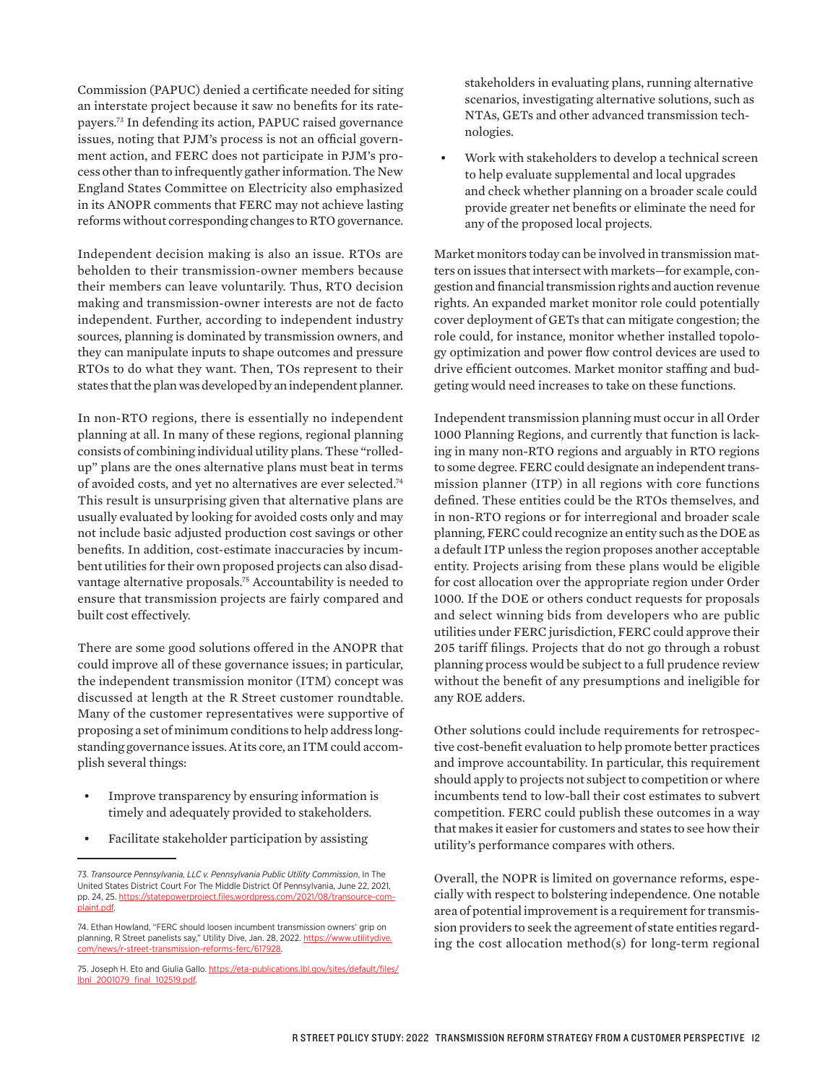Commission (PAPUC) denied a certificate needed for siting an interstate project because it saw no benefits for its ratepayers.73 In defending its action, PAPUC raised governance issues, noting that PJM's process is not an official government action, and FERC does not participate in PJM's process other than to infrequently gather information. The New England States Committee on Electricity also emphasized in its ANOPR comments that FERC may not achieve lasting reforms without corresponding changes to RTO governance.

Independent decision making is also an issue. RTOs are beholden to their transmission-owner members because their members can leave voluntarily. Thus, RTO decision making and transmission-owner interests are not de facto independent. Further, according to independent industry sources, planning is dominated by transmission owners, and they can manipulate inputs to shape outcomes and pressure RTOs to do what they want. Then, TOs represent to their states that the plan was developed by an independent planner.

In non-RTO regions, there is essentially no independent planning at all. In many of these regions, regional planning consists of combining individual utility plans. These "rolledup" plans are the ones alternative plans must beat in terms of avoided costs, and yet no alternatives are ever selected.74 This result is unsurprising given that alternative plans are usually evaluated by looking for avoided costs only and may not include basic adjusted production cost savings or other benefits. In addition, cost-estimate inaccuracies by incumbent utilities for their own proposed projects can also disadvantage alternative proposals.75 Accountability is needed to ensure that transmission projects are fairly compared and built cost effectively.

There are some good solutions offered in the ANOPR that could improve all of these governance issues; in particular, the independent transmission monitor (ITM) concept was discussed at length at the R Street customer roundtable. Many of the customer representatives were supportive of proposing a set of minimum conditions to help address longstanding governance issues. At its core, an ITM could accomplish several things:

- Improve transparency by ensuring information is timely and adequately provided to stakeholders.
- Facilitate stakeholder participation by assisting

stakeholders in evaluating plans, running alternative scenarios, investigating alternative solutions, such as NTAs, GETs and other advanced transmission technologies.

• Work with stakeholders to develop a technical screen to help evaluate supplemental and local upgrades and check whether planning on a broader scale could provide greater net benefits or eliminate the need for any of the proposed local projects.

Market monitors today can be involved in transmission matters on issues that intersect with markets—for example, congestion and financial transmission rights and auction revenue rights. An expanded market monitor role could potentially cover deployment of GETs that can mitigate congestion; the role could, for instance, monitor whether installed topology optimization and power flow control devices are used to drive efficient outcomes. Market monitor staffing and budgeting would need increases to take on these functions.

Independent transmission planning must occur in all Order 1000 Planning Regions, and currently that function is lacking in many non-RTO regions and arguably in RTO regions to some degree. FERC could designate an independent transmission planner (ITP) in all regions with core functions defined. These entities could be the RTOs themselves, and in non-RTO regions or for interregional and broader scale planning, FERC could recognize an entity such as the DOE as a default ITP unless the region proposes another acceptable entity. Projects arising from these plans would be eligible for cost allocation over the appropriate region under Order 1000. If the DOE or others conduct requests for proposals and select winning bids from developers who are public utilities under FERC jurisdiction, FERC could approve their 205 tariff filings. Projects that do not go through a robust planning process would be subject to a full prudence review without the benefit of any presumptions and ineligible for any ROE adders.

Other solutions could include requirements for retrospective cost-benefit evaluation to help promote better practices and improve accountability. In particular, this requirement should apply to projects not subject to competition or where incumbents tend to low-ball their cost estimates to subvert competition. FERC could publish these outcomes in a way that makes it easier for customers and states to see how their utility's performance compares with others.

Overall, the NOPR is limited on governance reforms, especially with respect to bolstering independence. One notable area of potential improvement is a requirement for transmission providers to seek the agreement of state entities regarding the cost allocation method(s) for long-term regional

<sup>73.</sup> *Transource Pennsylvania, LLC v. Pennsylvania Public Utility Commission*, In The United States District Court For The Middle District Of Pennsylvania, June 22, 2021, pp. 24, 25. [https://statepowerproject.files.wordpress.com/2021/08/transource-com](https://statepowerproject.files.wordpress.com/2021/08/transource-complaint.pdf)[plaint.pdf](https://statepowerproject.files.wordpress.com/2021/08/transource-complaint.pdf).

<sup>74.</sup> Ethan Howland, "FERC should loosen incumbent transmission owners' grip on planning, R Street panelists say," Utility Dive, Jan. 28, 2022. [https://www.utilitydive.](https://www.utilitydive.com/news/r-street-transmission-reforms-ferc/617928) [com/news/r-street-transmission-reforms-ferc/617928](https://www.utilitydive.com/news/r-street-transmission-reforms-ferc/617928).

<sup>75.</sup> Joseph H. Eto and Giulia Gallo. [https://eta-publications.lbl.gov/sites/default/files/](https://eta-publications.lbl.gov/sites/default/files/lbnl_2001079_final_102519.pdf) [lbnl\\_2001079\\_final\\_102519.pdf.](https://eta-publications.lbl.gov/sites/default/files/lbnl_2001079_final_102519.pdf)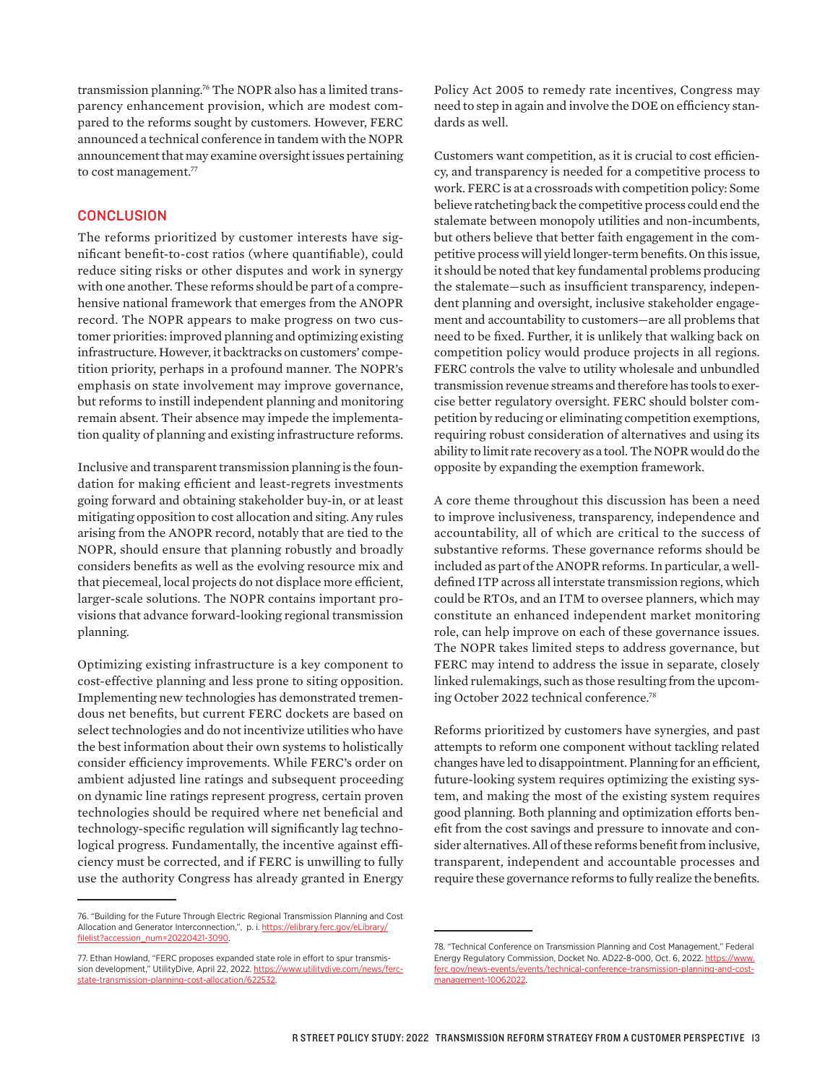transmission planning.76 The NOPR also has a limited transparency enhancement provision, which are modest compared to the reforms sought by customers. However, FERC announced a technical conference in tandem with the NOPR announcement that may examine oversight issues pertaining to cost management.<sup>77</sup>

#### **CONCLUSION**

The reforms prioritized by customer interests have significant benefit-to-cost ratios (where quantifiable), could reduce siting risks or other disputes and work in synergy with one another. These reforms should be part of a comprehensive national framework that emerges from the ANOPR record. The NOPR appears to make progress on two customer priorities: improved planning and optimizing existing infrastructure. However, it backtracks on customers' competition priority, perhaps in a profound manner. The NOPR's emphasis on state involvement may improve governance, but reforms to instill independent planning and monitoring remain absent. Their absence may impede the implementation quality of planning and existing infrastructure reforms.

Inclusive and transparent transmission planning is the foundation for making efficient and least-regrets investments going forward and obtaining stakeholder buy-in, or at least mitigating opposition to cost allocation and siting. Any rules arising from the ANOPR record, notably that are tied to the NOPR, should ensure that planning robustly and broadly considers benefits as well as the evolving resource mix and that piecemeal, local projects do not displace more efficient, larger-scale solutions. The NOPR contains important provisions that advance forward-looking regional transmission planning.

Optimizing existing infrastructure is a key component to cost-effective planning and less prone to siting opposition. Implementing new technologies has demonstrated tremendous net benefits, but current FERC dockets are based on select technologies and do not incentivize utilities who have the best information about their own systems to holistically consider efficiency improvements. While FERC's order on ambient adjusted line ratings and subsequent proceeding on dynamic line ratings represent progress, certain proven technologies should be required where net beneficial and technology-specific regulation will significantly lag technological progress. Fundamentally, the incentive against efficiency must be corrected, and if FERC is unwilling to fully use the authority Congress has already granted in Energy

Policy Act 2005 to remedy rate incentives, Congress may need to step in again and involve the DOE on efficiency standards as well.

Customers want competition, as it is crucial to cost efficiency, and transparency is needed for a competitive process to work. FERC is at a crossroads with competition policy: Some believe ratcheting back the competitive process could end the stalemate between monopoly utilities and non-incumbents, but others believe that better faith engagement in the competitive process will yield longer-term benefits. On this issue, it should be noted that key fundamental problems producing the stalemate—such as insufficient transparency, independent planning and oversight, inclusive stakeholder engagement and accountability to customers—are all problems that need to be fixed. Further, it is unlikely that walking back on competition policy would produce projects in all regions. FERC controls the valve to utility wholesale and unbundled transmission revenue streams and therefore has tools to exercise better regulatory oversight. FERC should bolster competition by reducing or eliminating competition exemptions, requiring robust consideration of alternatives and using its ability to limit rate recovery as a tool. The NOPR would do the opposite by expanding the exemption framework.

A core theme throughout this discussion has been a need to improve inclusiveness, transparency, independence and accountability, all of which are critical to the success of substantive reforms. These governance reforms should be included as part of the ANOPR reforms. In particular, a welldefined ITP across all interstate transmission regions, which could be RTOs, and an ITM to oversee planners, which may constitute an enhanced independent market monitoring role, can help improve on each of these governance issues. The NOPR takes limited steps to address governance, but FERC may intend to address the issue in separate, closely linked rulemakings, such as those resulting from the upcoming October 2022 technical conference.78

Reforms prioritized by customers have synergies, and past attempts to reform one component without tackling related changes have led to disappointment. Planning for an efficient, future-looking system requires optimizing the existing system, and making the most of the existing system requires good planning. Both planning and optimization efforts benefit from the cost savings and pressure to innovate and consider alternatives. All of these reforms benefit from inclusive, transparent, independent and accountable processes and require these governance reforms to fully realize the benefits.

<sup>76. &</sup>quot;Building for the Future Through Electric Regional Transmission Planning and Cost Allocation and Generator Interconnection,", p. i. [https://elibrary.ferc.gov/eLibrary/](https://elibrary.ferc.gov/eLibrary/filelist?accession_num=20220421-3090) [filelist?accession\\_num=20220421-3090.](https://elibrary.ferc.gov/eLibrary/filelist?accession_num=20220421-3090)

<sup>77.</sup> Ethan Howland, "FERC proposes expanded state role in effort to spur transmission development," UtilityDive, April 22, 2022. [https://www.utilitydive.com/news/ferc](https://www.utilitydive.com/news/ferc-state-transmission-planning-cost-allocation/622532)[state-transmission-planning-cost-allocation/622532](https://www.utilitydive.com/news/ferc-state-transmission-planning-cost-allocation/622532).

<sup>78. &</sup>quot;Technical Conference on Transmission Planning and Cost Management," Federal Energy Regulatory Commission, Docket No. AD22-8-000, Oct. 6, 2022. [https://www.](https://www.ferc.gov/news-events/events/technical-conference-transmission-planning-and-cost-management-10062022) [ferc.gov/news-events/events/technical-conference-transmission-planning-and-cost](https://www.ferc.gov/news-events/events/technical-conference-transmission-planning-and-cost-management-10062022)[management-10062022](https://www.ferc.gov/news-events/events/technical-conference-transmission-planning-and-cost-management-10062022).